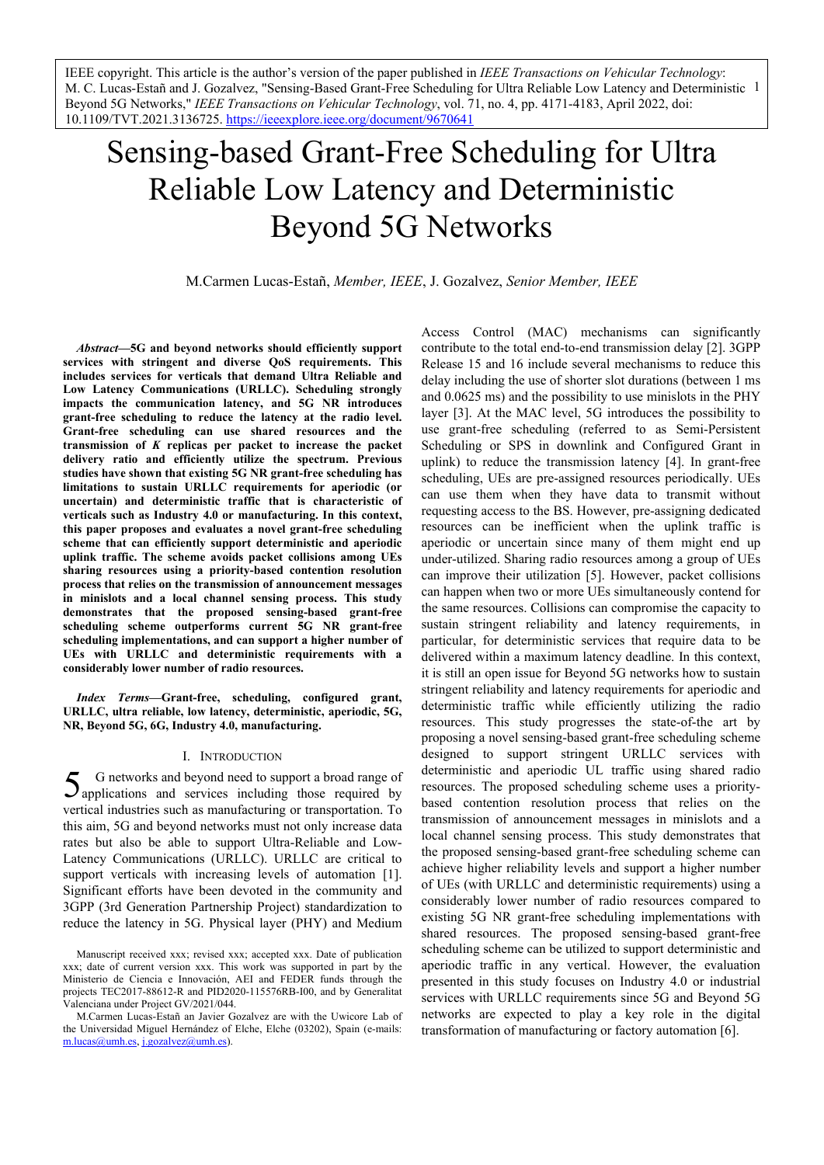M. C. Lucas-Estañ and J. Gozalvez, "Sensing-Based Grant-Free Scheduling for Ultra Reliable Low Latency and Deterministic 1 IEEE copyright. This article is the author's version of the paper published in *IEEE Transactions on Vehicular Technology*: Beyond 5G Networks," *IEEE Transactions on Vehicular Technology*, vol. 71, no. 4, pp. 4171-4183, April 2022, doi: 10.1109/TVT.2021.3136725. https://ieeexplore.ieee.org/document/9670641

# Sensing-based Grant-Free Scheduling for Ultra Reliable Low Latency and Deterministic Beyond 5G Networks

M.Carmen Lucas-Estañ, *Member, IEEE*, J. Gozalvez, *Senior Member, IEEE*

*Abstract***—5G and beyond networks should efficiently support services with stringent and diverse QoS requirements. This includes services for verticals that demand Ultra Reliable and Low Latency Communications (URLLC). Scheduling strongly impacts the communication latency, and 5G NR introduces grant-free scheduling to reduce the latency at the radio level. Grant-free scheduling can use shared resources and the transmission of** *K* **replicas per packet to increase the packet delivery ratio and efficiently utilize the spectrum. Previous studies have shown that existing 5G NR grant-free scheduling has limitations to sustain URLLC requirements for aperiodic (or uncertain) and deterministic traffic that is characteristic of verticals such as Industry 4.0 or manufacturing. In this context, this paper proposes and evaluates a novel grant-free scheduling scheme that can efficiently support deterministic and aperiodic uplink traffic. The scheme avoids packet collisions among UEs sharing resources using a priority-based contention resolution process that relies on the transmission of announcement messages in minislots and a local channel sensing process. This study demonstrates that the proposed sensing-based grant-free scheduling scheme outperforms current 5G NR grant-free scheduling implementations, and can support a higher number of UEs with URLLC and deterministic requirements with a considerably lower number of radio resources.** 

*Index Terms***—Grant-free, scheduling, configured grant, URLLC, ultra reliable, low latency, deterministic, aperiodic, 5G, NR, Beyond 5G, 6G, Industry 4.0, manufacturing.** 

## I. INTRODUCTION

G networks and beyond need to support a broad range of  $5$  G networks and beyond need to support a broad range of applications and services including those required by vertical industries such as manufacturing or transportation. To this aim, 5G and beyond networks must not only increase data rates but also be able to support Ultra-Reliable and Low-Latency Communications (URLLC). URLLC are critical to support verticals with increasing levels of automation [1]. Significant efforts have been devoted in the community and 3GPP (3rd Generation Partnership Project) standardization to reduce the latency in 5G. Physical layer (PHY) and Medium

Access Control (MAC) mechanisms can significantly contribute to the total end-to-end transmission delay [2]. 3GPP Release 15 and 16 include several mechanisms to reduce this delay including the use of shorter slot durations (between 1 ms and 0.0625 ms) and the possibility to use minislots in the PHY layer [3]. At the MAC level, 5G introduces the possibility to use grant-free scheduling (referred to as Semi-Persistent Scheduling or SPS in downlink and Configured Grant in uplink) to reduce the transmission latency [4]. In grant-free scheduling, UEs are pre-assigned resources periodically. UEs can use them when they have data to transmit without requesting access to the BS. However, pre-assigning dedicated resources can be inefficient when the uplink traffic is aperiodic or uncertain since many of them might end up under-utilized. Sharing radio resources among a group of UEs can improve their utilization [5]. However, packet collisions can happen when two or more UEs simultaneously contend for the same resources. Collisions can compromise the capacity to sustain stringent reliability and latency requirements, in particular, for deterministic services that require data to be delivered within a maximum latency deadline. In this context, it is still an open issue for Beyond 5G networks how to sustain stringent reliability and latency requirements for aperiodic and deterministic traffic while efficiently utilizing the radio resources. This study progresses the state-of-the art by proposing a novel sensing-based grant-free scheduling scheme designed to support stringent URLLC services with deterministic and aperiodic UL traffic using shared radio resources. The proposed scheduling scheme uses a prioritybased contention resolution process that relies on the transmission of announcement messages in minislots and a local channel sensing process. This study demonstrates that the proposed sensing-based grant-free scheduling scheme can achieve higher reliability levels and support a higher number of UEs (with URLLC and deterministic requirements) using a considerably lower number of radio resources compared to existing 5G NR grant-free scheduling implementations with shared resources. The proposed sensing-based grant-free scheduling scheme can be utilized to support deterministic and aperiodic traffic in any vertical. However, the evaluation presented in this study focuses on Industry 4.0 or industrial services with URLLC requirements since 5G and Beyond 5G networks are expected to play a key role in the digital transformation of manufacturing or factory automation [6].

Manuscript received xxx; revised xxx; accepted xxx. Date of publication xxx; date of current version xxx. This work was supported in part by the Ministerio de Ciencia e Innovación, AEI and FEDER funds through the projects TEC2017-88612-R and PID2020-115576RB-I00, and by Generalitat Valenciana under Project GV/2021/044.

M.Carmen Lucas-Estañ an Javier Gozalvez are with the Uwicore Lab of the Universidad Miguel Hernández of Elche, Elche (03202), Spain (e-mails: m.lucas@umh.es, j.gozalvez@umh.es).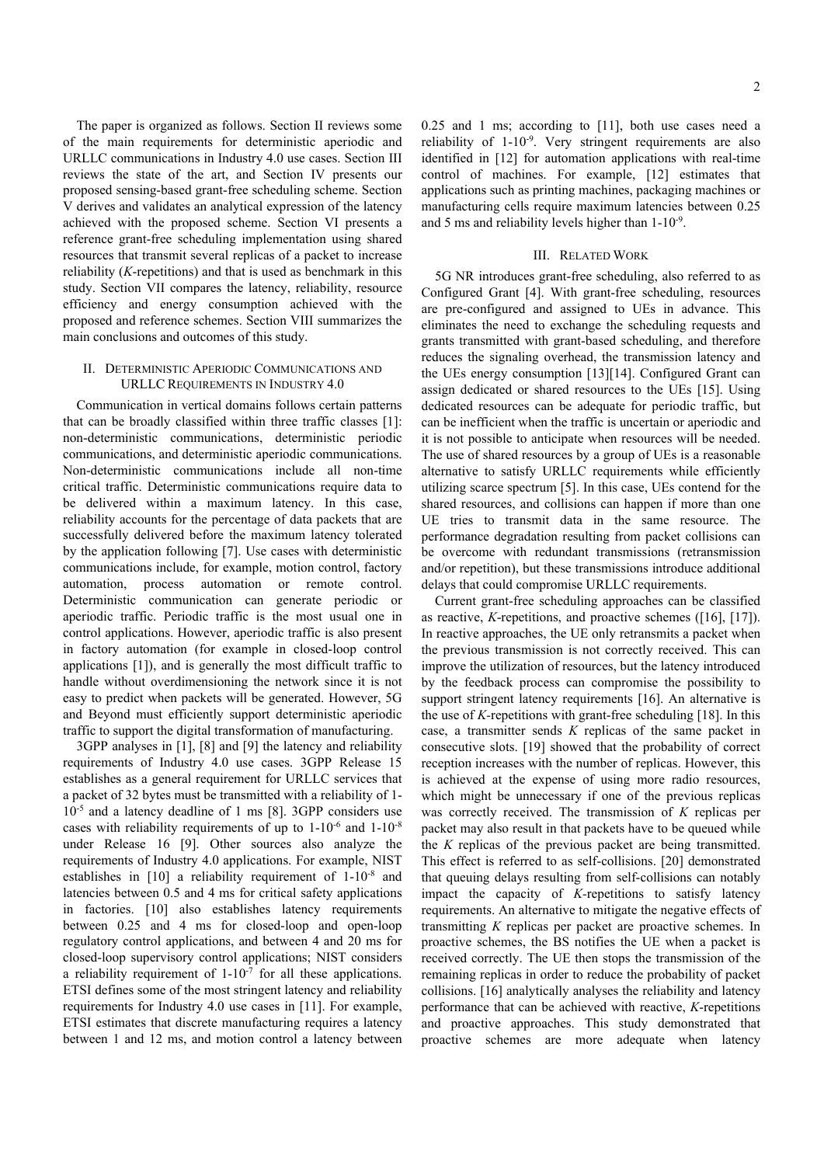The paper is organized as follows. Section II reviews some of the main requirements for deterministic aperiodic and URLLC communications in Industry 4.0 use cases. Section III reviews the state of the art, and Section IV presents our proposed sensing-based grant-free scheduling scheme. Section V derives and validates an analytical expression of the latency achieved with the proposed scheme. Section VI presents a reference grant-free scheduling implementation using shared resources that transmit several replicas of a packet to increase reliability (*K*-repetitions) and that is used as benchmark in this study. Section VII compares the latency, reliability, resource efficiency and energy consumption achieved with the proposed and reference schemes. Section VIII summarizes the main conclusions and outcomes of this study.

## II. DETERMINISTIC APERIODIC COMMUNICATIONS AND URLLC REQUIREMENTS IN INDUSTRY 4.0

Communication in vertical domains follows certain patterns that can be broadly classified within three traffic classes [1]: non-deterministic communications, deterministic periodic communications, and deterministic aperiodic communications. Non-deterministic communications include all non-time critical traffic. Deterministic communications require data to be delivered within a maximum latency. In this case, reliability accounts for the percentage of data packets that are successfully delivered before the maximum latency tolerated by the application following [7]. Use cases with deterministic communications include, for example, motion control, factory automation, process automation or remote control. Deterministic communication can generate periodic or aperiodic traffic. Periodic traffic is the most usual one in control applications. However, aperiodic traffic is also present in factory automation (for example in closed-loop control applications [1]), and is generally the most difficult traffic to handle without overdimensioning the network since it is not easy to predict when packets will be generated. However, 5G and Beyond must efficiently support deterministic aperiodic traffic to support the digital transformation of manufacturing.

3GPP analyses in [1], [8] and [9] the latency and reliability requirements of Industry 4.0 use cases. 3GPP Release 15 establishes as a general requirement for URLLC services that a packet of 32 bytes must be transmitted with a reliability of 1- 10-5 and a latency deadline of 1 ms [8]. 3GPP considers use cases with reliability requirements of up to  $1\textrm{-}10^{-6}$  and  $1\textrm{-}10^{-8}$ under Release 16 [9]. Other sources also analyze the requirements of Industry 4.0 applications. For example, NIST establishes in [10] a reliability requirement of 1-10-8 and latencies between 0.5 and 4 ms for critical safety applications in factories. [10] also establishes latency requirements between 0.25 and 4 ms for closed-loop and open-loop regulatory control applications, and between 4 and 20 ms for closed-loop supervisory control applications; NIST considers a reliability requirement of  $1-10^{-7}$  for all these applications. ETSI defines some of the most stringent latency and reliability requirements for Industry 4.0 use cases in [11]. For example, ETSI estimates that discrete manufacturing requires a latency between 1 and 12 ms, and motion control a latency between 0.25 and 1 ms; according to [11], both use cases need a reliability of 1-10-9. Very stringent requirements are also identified in [12] for automation applications with real-time control of machines. For example, [12] estimates that applications such as printing machines, packaging machines or manufacturing cells require maximum latencies between 0.25 and 5 ms and reliability levels higher than 1-10-9.

#### III. RELATED WORK

5G NR introduces grant-free scheduling, also referred to as Configured Grant [4]. With grant-free scheduling, resources are pre-configured and assigned to UEs in advance. This eliminates the need to exchange the scheduling requests and grants transmitted with grant-based scheduling, and therefore reduces the signaling overhead, the transmission latency and the UEs energy consumption [13][14]. Configured Grant can assign dedicated or shared resources to the UEs [15]. Using dedicated resources can be adequate for periodic traffic, but can be inefficient when the traffic is uncertain or aperiodic and it is not possible to anticipate when resources will be needed. The use of shared resources by a group of UEs is a reasonable alternative to satisfy URLLC requirements while efficiently utilizing scarce spectrum [5]. In this case, UEs contend for the shared resources, and collisions can happen if more than one UE tries to transmit data in the same resource. The performance degradation resulting from packet collisions can be overcome with redundant transmissions (retransmission and/or repetition), but these transmissions introduce additional delays that could compromise URLLC requirements.

Current grant-free scheduling approaches can be classified as reactive, *K*-repetitions, and proactive schemes ([16], [17]). In reactive approaches, the UE only retransmits a packet when the previous transmission is not correctly received. This can improve the utilization of resources, but the latency introduced by the feedback process can compromise the possibility to support stringent latency requirements [16]. An alternative is the use of *K-*repetitions with grant-free scheduling [18]. In this case, a transmitter sends *K* replicas of the same packet in consecutive slots. [19] showed that the probability of correct reception increases with the number of replicas. However, this is achieved at the expense of using more radio resources, which might be unnecessary if one of the previous replicas was correctly received. The transmission of *K* replicas per packet may also result in that packets have to be queued while the *K* replicas of the previous packet are being transmitted. This effect is referred to as self-collisions. [20] demonstrated that queuing delays resulting from self-collisions can notably impact the capacity of *K-*repetitions to satisfy latency requirements. An alternative to mitigate the negative effects of transmitting *K* replicas per packet are proactive schemes. In proactive schemes, the BS notifies the UE when a packet is received correctly. The UE then stops the transmission of the remaining replicas in order to reduce the probability of packet collisions. [16] analytically analyses the reliability and latency performance that can be achieved with reactive, *K*-repetitions and proactive approaches. This study demonstrated that proactive schemes are more adequate when latency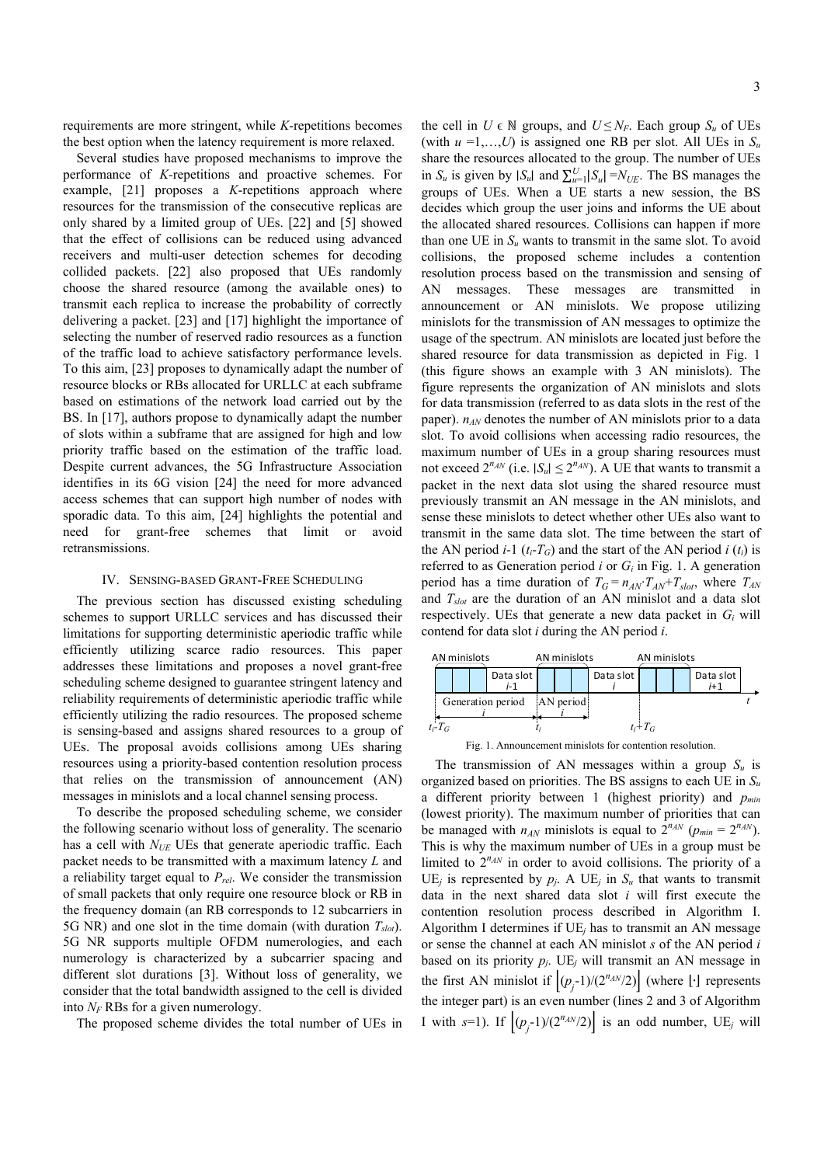requirements are more stringent, while *K*-repetitions becomes the best option when the latency requirement is more relaxed.

Several studies have proposed mechanisms to improve the performance of *K-*repetitions and proactive schemes. For example, [21] proposes a *K*-repetitions approach where resources for the transmission of the consecutive replicas are only shared by a limited group of UEs. [22] and [5] showed that the effect of collisions can be reduced using advanced receivers and multi-user detection schemes for decoding collided packets. [22] also proposed that UEs randomly choose the shared resource (among the available ones) to transmit each replica to increase the probability of correctly delivering a packet. [23] and [17] highlight the importance of selecting the number of reserved radio resources as a function of the traffic load to achieve satisfactory performance levels. To this aim, [23] proposes to dynamically adapt the number of resource blocks or RBs allocated for URLLC at each subframe based on estimations of the network load carried out by the BS. In [17], authors propose to dynamically adapt the number of slots within a subframe that are assigned for high and low priority traffic based on the estimation of the traffic load. Despite current advances, the 5G Infrastructure Association identifies in its 6G vision [24] the need for more advanced access schemes that can support high number of nodes with sporadic data. To this aim, [24] highlights the potential and need for grant-free schemes that limit or avoid retransmissions.

## IV. SENSING-BASED GRANT-FREE SCHEDULING

The previous section has discussed existing scheduling schemes to support URLLC services and has discussed their limitations for supporting deterministic aperiodic traffic while efficiently utilizing scarce radio resources. This paper addresses these limitations and proposes a novel grant-free scheduling scheme designed to guarantee stringent latency and reliability requirements of deterministic aperiodic traffic while efficiently utilizing the radio resources. The proposed scheme is sensing-based and assigns shared resources to a group of UEs. The proposal avoids collisions among UEs sharing resources using a priority-based contention resolution process that relies on the transmission of announcement (AN) messages in minislots and a local channel sensing process.

To describe the proposed scheduling scheme, we consider the following scenario without loss of generality. The scenario has a cell with *N<sub>UE</sub>* UEs that generate aperiodic traffic. Each packet needs to be transmitted with a maximum latency *L* and a reliability target equal to *Prel*. We consider the transmission of small packets that only require one resource block or RB in the frequency domain (an RB corresponds to 12 subcarriers in 5G NR) and one slot in the time domain (with duration *Tslot*). 5G NR supports multiple OFDM numerologies, and each numerology is characterized by a subcarrier spacing and different slot durations [3]. Without loss of generality, we consider that the total bandwidth assigned to the cell is divided into  $N_F$  RBs for a given numerology.

The proposed scheme divides the total number of UEs in

the cell in  $U \in \mathbb{N}$  groups, and  $U \leq N_F$ . Each group  $S_u$  of UEs (with  $u = 1,...,U$ ) is assigned one RB per slot. All UEs in  $S_u$ share the resources allocated to the group. The number of UEs in  $S_u$  is given by  $|S_u|$  and  $\sum_{u=1}^U |S_u| = N_{UE}$ . The BS manages the groups of UEs. When a UE starts a new session, the BS decides which group the user joins and informs the UE about the allocated shared resources. Collisions can happen if more than one UE in *Su* wants to transmit in the same slot. To avoid collisions, the proposed scheme includes a contention resolution process based on the transmission and sensing of AN messages. These messages are transmitted in announcement or AN minislots. We propose utilizing minislots for the transmission of AN messages to optimize the usage of the spectrum. AN minislots are located just before the shared resource for data transmission as depicted in Fig. 1 (this figure shows an example with 3 AN minislots). The figure represents the organization of AN minislots and slots for data transmission (referred to as data slots in the rest of the paper).  $n_{AN}$  denotes the number of AN minislots prior to a data slot. To avoid collisions when accessing radio resources, the maximum number of UEs in a group sharing resources must not exceed  $2^{n_{AN}}$  (i.e.  $|S_u| \leq 2^{n_{AN}}$ ). A UE that wants to transmit a packet in the next data slot using the shared resource must previously transmit an AN message in the AN minislots, and sense these minislots to detect whether other UEs also want to transmit in the same data slot. The time between the start of the AN period  $i-1$  ( $t_i-T_G$ ) and the start of the AN period  $i(t_i)$  is referred to as Generation period *i* or *Gi* in Fig. 1. A generation period has a time duration of  $T_G = n_{AN} \cdot T_{AN} + T_{slot}$ , where  $T_{AN}$ and *Tslot* are the duration of an AN minislot and a data slot respectively. UEs that generate a new data packet in *Gi* will contend for data slot *i* during the AN period *i*.



Fig. 1. Announcement minislots for contention resolution.

The transmission of AN messages within a group  $S_u$  is organized based on priorities. The BS assigns to each UE in *Su* a different priority between 1 (highest priority) and *pmin*  (lowest priority). The maximum number of priorities that can be managed with  $n_{AN}$  minislots is equal to  $2^{n_{AN}}$  ( $p_{min} = 2^{n_{AN}}$ ). This is why the maximum number of UEs in a group must be limited to  $2^{n_{AN}}$  in order to avoid collisions. The priority of a UE<sub>j</sub> is represented by  $p_j$ . A UE<sub>j</sub> in  $S_u$  that wants to transmit data in the next shared data slot *i* will first execute the contention resolution process described in Algorithm I. Algorithm I determines if UE*j* has to transmit an AN message or sense the channel at each AN minislot *s* of the AN period *i*  based on its priority  $p_j$ . UE<sub>j</sub> will transmit an AN message in the first AN minislot if  $(p_j-1)/(2^{n_{AN}}/2)$  (where [⋅] represents the integer part) is an even number (lines 2 and 3 of Algorithm I with  $s=1$ ). If  $[(p_j-1)/(2^{n_{AN}}/2)]$  is an odd number, UE<sub>j</sub> will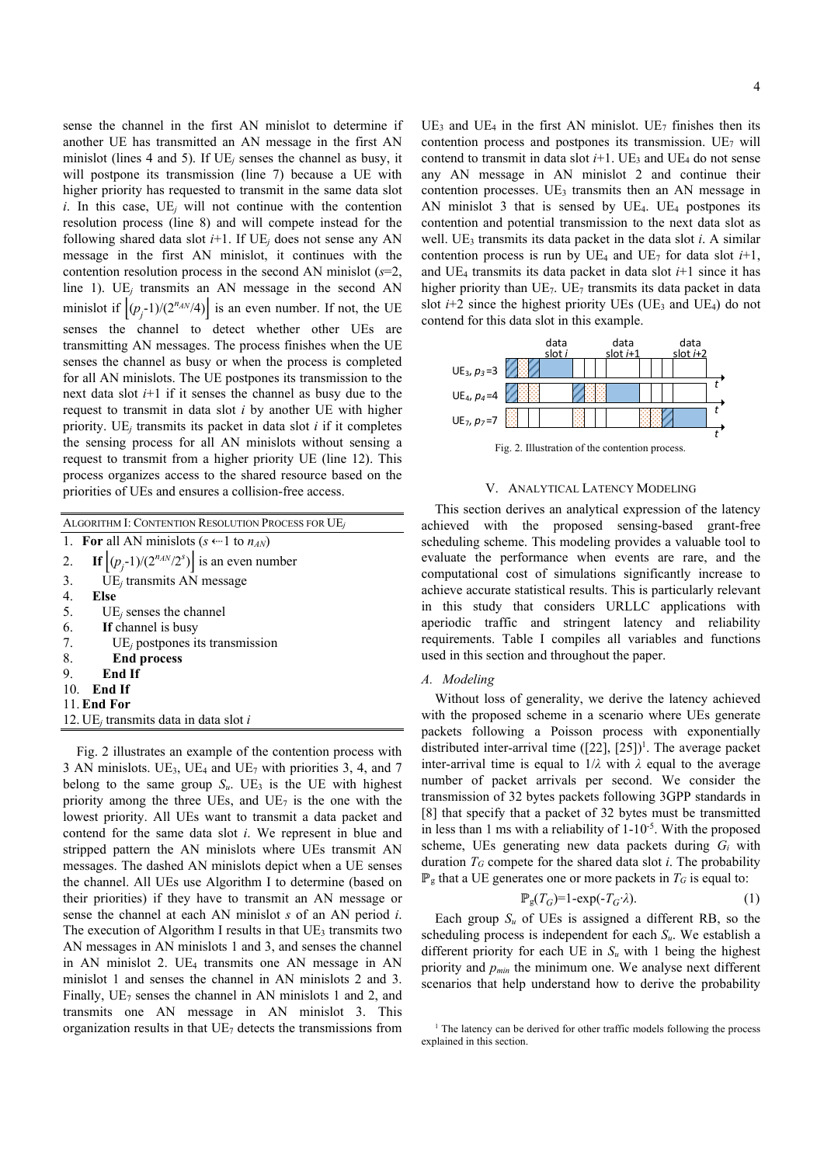sense the channel in the first AN minislot to determine if another UE has transmitted an AN message in the first AN minislot (lines 4 and 5). If UE*j* senses the channel as busy, it will postpone its transmission (line 7) because a UE with higher priority has requested to transmit in the same data slot  $i$ . In this case,  $UE<sub>i</sub>$  will not continue with the contention resolution process (line 8) and will compete instead for the following shared data slot  $i+1$ . If  $UE_i$  does not sense any AN message in the first AN minislot, it continues with the contention resolution process in the second AN minislot (*s*=2, line 1). UE*j* transmits an AN message in the second AN minislot if  $[(p<sub>j</sub>-1)/(2<sup>n<sub>AN</sub>/4</sup>)]$  is an even number. If not, the UE senses the channel to detect whether other UEs are transmitting AN messages. The process finishes when the UE senses the channel as busy or when the process is completed for all AN minislots. The UE postpones its transmission to the next data slot *i*+1 if it senses the channel as busy due to the request to transmit in data slot *i* by another UE with higher priority. UE*j* transmits its packet in data slot *i* if it completes the sensing process for all AN minislots without sensing a request to transmit from a higher priority UE (line 12). This process organizes access to the shared resource based on the priorities of UEs and ensures a collision-free access.

| ALGORITHM I: CONTENTION RESOLUTION PROCESS FOR UE        |
|----------------------------------------------------------|
| 1. For all AN minislots ( $s \leftarrow 1$ to $n_{AN}$ ) |
| If $ (p_i-1)/(2^{n_{AN}}/2^s) $ is an even number<br>2.  |
| UE <sub>i</sub> transmits AN message<br>3.               |
| 4.<br>Else                                               |
| 5.<br>$UEi$ senses the channel                           |
| 6. If channel is busy                                    |
| 7.<br>$UEj$ postpones its transmission                   |
| 8.<br><b>End process</b>                                 |
| End If<br>9.                                             |
| 10. End If                                               |
| 11. End For                                              |
| 12. UE <sub>i</sub> transmits data in data slot i        |

Fig. 2 illustrates an example of the contention process with 3 AN minislots. UE<sub>3</sub>, UE<sub>4</sub> and UE<sub>7</sub> with priorities 3, 4, and 7 belong to the same group  $S_u$ . UE<sub>3</sub> is the UE with highest priority among the three UEs, and  $UE<sub>7</sub>$  is the one with the lowest priority. All UEs want to transmit a data packet and contend for the same data slot *i*. We represent in blue and stripped pattern the AN minislots where UEs transmit AN messages. The dashed AN minislots depict when a UE senses the channel. All UEs use Algorithm I to determine (based on their priorities) if they have to transmit an AN message or sense the channel at each AN minislot *s* of an AN period *i*. The execution of Algorithm I results in that  $UE<sub>3</sub>$  transmits two AN messages in AN minislots 1 and 3, and senses the channel in AN minislot 2. UE4 transmits one AN message in AN minislot 1 and senses the channel in AN minislots 2 and 3. Finally,  $UE<sub>7</sub>$  senses the channel in AN minislots 1 and 2, and transmits one AN message in AN minislot 3. This organization results in that  $UE<sub>7</sub>$  detects the transmissions from  $UE_3$  and  $UE_4$  in the first AN minislot.  $UE_7$  finishes then its contention process and postpones its transmission. UE7 will contend to transmit in data slot  $i+1$ . UE<sub>3</sub> and UE<sub>4</sub> do not sense any AN message in AN minislot 2 and continue their contention processes.  $UE<sub>3</sub>$  transmits then an AN message in AN minislot 3 that is sensed by  $UE_4$ .  $UE_4$  postpones its contention and potential transmission to the next data slot as well. UE<sub>3</sub> transmits its data packet in the data slot *i*. A similar contention process is run by  $UE_4$  and  $UE_7$  for data slot  $i+1$ , and UE<sub>4</sub> transmits its data packet in data slot  $i+1$  since it has higher priority than  $UE<sub>7</sub>$ . UE<sub>7</sub> transmits its data packet in data slot  $i+2$  since the highest priority UEs (UE<sub>3</sub> and UE<sub>4</sub>) do not contend for this data slot in this example.



Fig. 2. Illustration of the contention process.

#### V. ANALYTICAL LATENCY MODELING

This section derives an analytical expression of the latency achieved with the proposed sensing-based grant-free scheduling scheme. This modeling provides a valuable tool to evaluate the performance when events are rare, and the computational cost of simulations significantly increase to achieve accurate statistical results. This is particularly relevant in this study that considers URLLC applications with aperiodic traffic and stringent latency and reliability requirements. Table I compiles all variables and functions used in this section and throughout the paper.

## *A. Modeling*

Without loss of generality, we derive the latency achieved with the proposed scheme in a scenario where UEs generate packets following a Poisson process with exponentially distributed inter-arrival time  $([22], [25])^1$ . The average packet inter-arrival time is equal to  $1/\lambda$  with  $\lambda$  equal to the average number of packet arrivals per second. We consider the transmission of 32 bytes packets following 3GPP standards in [8] that specify that a packet of 32 bytes must be transmitted in less than 1 ms with a reliability of 1-10-5. With the proposed scheme, UEs generating new data packets during *Gi* with duration  $T_G$  compete for the shared data slot *i*. The probability  $\mathbb{P}_{g}$  that a UE generates one or more packets in  $T_G$  is equal to:

$$
\mathbb{P}_{g}(T_G)=1-\exp(-T_G\cdot\lambda). \tag{1}
$$

Each group  $S_u$  of UEs is assigned a different RB, so the scheduling process is independent for each *Su*. We establish a different priority for each UE in  $S_u$  with 1 being the highest priority and *pmin* the minimum one. We analyse next different scenarios that help understand how to derive the probability

<sup>&</sup>lt;sup>1</sup> The latency can be derived for other traffic models following the process explained in this section.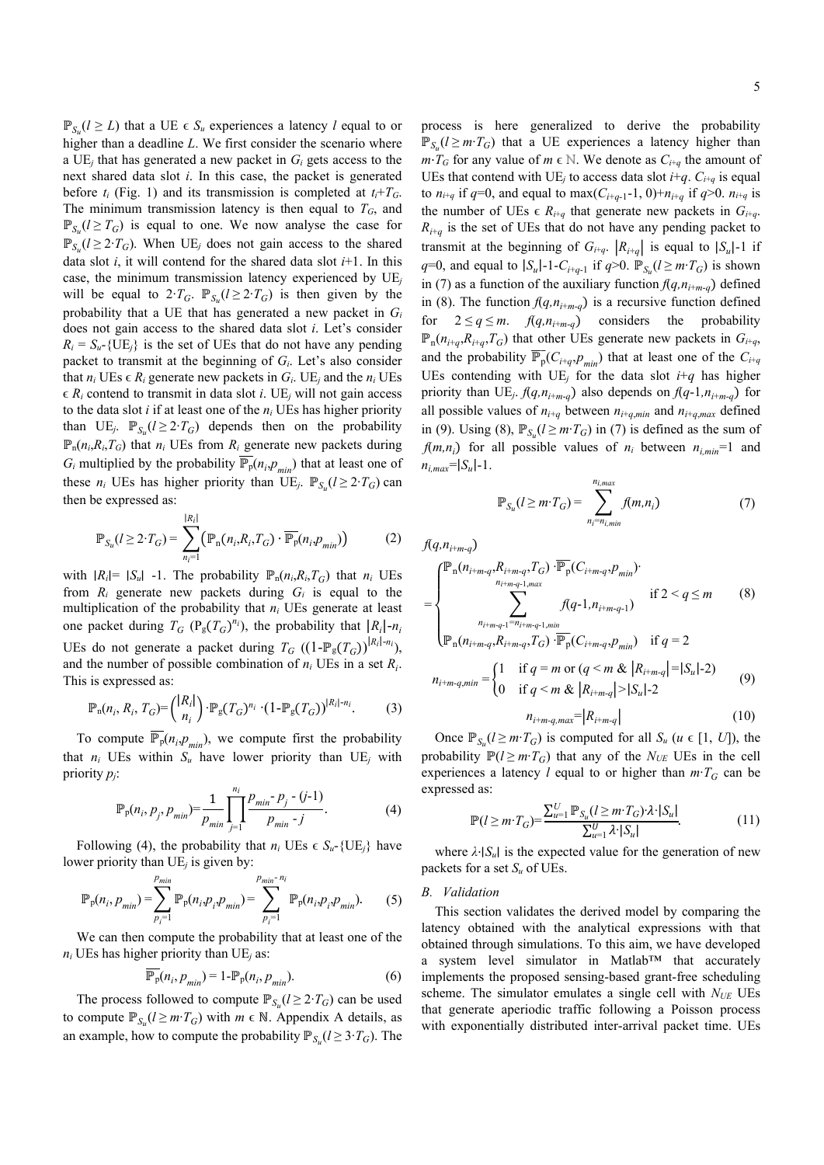$\mathbb{P}_{S_0}(l ≥ L)$  that a UE ∈  $S_u$  experiences a latency *l* equal to or higher than a deadline *L*. We first consider the scenario where a UE*j* that has generated a new packet in *Gi* gets access to the next shared data slot *i*. In this case, the packet is generated before  $t_i$  (Fig. 1) and its transmission is completed at  $t_i+T_G$ . The minimum transmission latency is then equal to  $T<sub>G</sub>$ , and  $\mathbb{P}_{S_u} (l \geq T_G)$  is equal to one. We now analyse the case for  $\mathbb{P}_{S_{\alpha}}$ ( $l$  ≥ 2⋅*T<sub>G</sub>*). When UE<sub>*j*</sub> does not gain access to the shared data slot *i*, it will contend for the shared data slot *i*+1. In this case, the minimum transmission latency experienced by UE*<sup>j</sup>* will be equal to  $2 \cdot T_G$ .  $\mathbb{P}_{S_u} (l \geq 2 \cdot T_G)$  is then given by the probability that a UE that has generated a new packet in *Gi* does not gain access to the shared data slot *i*. Let's consider  $R_i = S_{ii}$ -{UE<sub>*j*</sub>} is the set of UEs that do not have any pending packet to transmit at the beginning of *Gi*. Let's also consider that  $n_i$  UEs  $\in R_i$  generate new packets in  $G_i$ . UE<sub>j</sub> and the  $n_i$  UEs  $\epsilon$  *R<sub>i</sub>* contend to transmit in data slot *i*. UE<sub>*j*</sub> will not gain access to the data slot *i* if at least one of the *ni* UEs has higher priority than UE<sub>*j*</sub>.  $\mathbb{P}_{S_n} (l \geq 2 \cdot T_G)$  depends then on the probability  $\mathbb{P}_n(n_i, R_i, T_G)$  that  $n_i$  UEs from  $R_i$  generate new packets during  $G_i$  multiplied by the probability  $\overline{\mathbb{P}_p}(n_i, p_{min})$  that at least one of these  $n_i$  UEs has higher priority than UE<sub>*j*</sub>.  $\mathbb{P}_{S_{\alpha}}(l \geq 2 \cdot T_G)$  can then be expressed as:

$$
\mathbb{P}_{S_u}(l \ge 2 \cdot T_G) = \sum_{n_i=1}^{|R_i|} \left( \mathbb{P}_{\mathbf{n}}(n_i, R_i, T_G) \cdot \overline{\mathbb{P}_{\mathbf{p}}}(n_i, p_{\min}) \right)
$$
(2)

with  $|R_i| = |S_u|$  -1. The probability  $\mathbb{P}_n(n_i, R_i, T_G)$  that  $n_i$  UEs from  $R_i$  generate new packets during  $G_i$  is equal to the multiplication of the probability that *ni* UEs generate at least one packet during  $T_G$  ( $P_g(T_G)^{n_i}$ ), the probability that  $|R_i|$ - $n_i$ UEs do not generate a packet during  $T_G$  ((1- $\mathbb{P}_g(T_G)$ )<sup>|R<sub>i</sub>|-n<sub>i</sub></sup>), and the number of possible combination of  $n_i$  UEs in a set  $R_i$ . This is expressed as:

$$
\mathbb{P}_n(n_i, R_i, T_G) = {R_i| \choose n_i} \cdot \mathbb{P}_{g}(T_G)^{n_i} \cdot (1 - \mathbb{P}_{g}(T_G))^{|R_i| - n_i}.
$$
 (3)

To compute  $\overline{\mathbb{P}_p}(n_i,p_{\text{min}})$ , we compute first the probability that  $n_i$  UEs within  $S_u$  have lower priority than UE<sub>i</sub> with priority *pj*:

$$
\mathbb{P}_{p}(n_{i}, p_{j}, p_{min}) = \frac{1}{p_{min}} \prod_{j=1}^{n_{i}} \frac{p_{min} - p_{j} - (j-1)}{p_{min} - j}.
$$
 (4)

Following (4), the probability that  $n_i$  UEs  $\in S_u$ -{UE<sub>*i*</sub>} have lower priority than UE*j* is given by:

$$
\mathbb{P}_{p}(n_{i}, p_{min}) = \sum_{p_{i}=1}^{p_{min}} \mathbb{P}_{p}(n_{i}, p_{i}, p_{min}) = \sum_{p_{i}=1}^{p_{min}-n_{i}} \mathbb{P}_{p}(n_{i}, p_{i}, p_{min}).
$$
 (5)

We can then compute the probability that at least one of the  $n_i$  UEs has higher priority than UE<sub>j</sub> as:

$$
\mathbb{P}_{p}(n_{i}, p_{min}) = 1 - \mathbb{P}_{p}(n_{i}, p_{min}). \tag{6}
$$

The process followed to compute  $\mathbb{P}_{S_u}(l \geq 2 \cdot T_G)$  can be used to compute  $\mathbb{P}_{S_n}$  ( $l \geq m \cdot T_G$ ) with  $m \in \mathbb{N}$ . Appendix A details, as an example, how to compute the probability  $\mathbb{P}_{S_{\alpha}}(l \geq 3 \cdot T_{G})$ . The

process is here generalized to derive the probability  $\mathbb{P}_{S_{\nu}}$ (*l* ≥ *m*⋅*T<sub>G</sub>*) that a UE experiences a latency higher than  $m \cdot T_G$  for any value of  $m \in \mathbb{N}$ . We denote as  $C_{i+q}$  the amount of UEs that contend with UE<sub>*j*</sub> to access data slot  $i+q$ .  $C_{i+q}$  is equal to  $n_{i+q}$  if  $q=0$ , and equal to  $\max(C_{i+q-1}-1, 0)+n_{i+q}$  if  $q>0$ .  $n_{i+q}$  is the number of UEs  $\epsilon$  *R*<sub>i+q</sub> that generate new packets in  $G_{i+q}$ .  $R_{i+a}$  is the set of UEs that do not have any pending packet to transmit at the beginning of  $G_{i+q}$ .  $|R_{i+q}|$  is equal to  $|S_u|$ -1 if *q*=0, and equal to  $|S_u|$ -1-*C*<sub>*i*+*q*-1</sub> if *q*>0.  $\mathbb{P}_{S_u}$  (*l* ≥ *m*⋅*T<sub>G</sub>*) is shown in (7) as a function of the auxiliary function  $f(q, n_{i+m-q})$  defined in (8). The function  $f(q, n_{i+m-q})$  is a recursive function defined for  $2 \le q \le m$ .  $f(q, n_{i+m-q})$  considers the probability  $\mathbb{P}_n(n_{i+q}, R_{i+q}, T_G)$  that other UEs generate new packets in  $G_{i+q}$ , and the probability  $\overline{\mathbb{P}_p}(C_{i+q}, p_{min})$  that at least one of the  $C_{i+q}$ UEs contending with  $UE_j$  for the data slot  $i+q$  has higher priority than UE<sub>j</sub>.  $f(q, n_{i+m-q})$  also depends on  $f(q-1, n_{i+m-q})$  for all possible values of  $n_{i+q}$  between  $n_{i+q,min}$  and  $n_{i+q,max}$  defined in (9). Using (8),  $\mathbb{P}_{S_{\nu}}(l \geq m \cdot T_G)$  in (7) is defined as the sum of  $f(m,n_i)$  for all possible values of  $n_i$  between  $n_{i,min}=1$  and  $n_{i,max} = |S_u| - 1$ .

$$
\mathbb{P}_{S_u}(l \ge m \cdot T_G) = \sum_{n_i = n_{i,min}}^{n_{i,max}} f(m, n_i)
$$
 (7)

 $f(q, n_{i+m-q})$ 

$$
= \begin{cases} \mathbb{P}_{n}(n_{i+m-q}, R_{i+m-q}, T_{G}) \cdot \overline{\mathbb{P}_{p}}(C_{i+m-q}, p_{min}) \\ \sum_{n_{i+m-q-1}, m_{i}}^{n_{i+m-q-1}, m_{i}} f(q-1, n_{i+m-q-1}) & \text{if } 2 < q \leq m \\ \sum_{n_{i+m-q}, R_{i+m-q}, T_{G}}^{n_{i+m-q-1}, m_{i+n}} f(q-1, n_{i+m-q-1}) & \text{if } q = 2 \end{cases} \tag{8}
$$
\n
$$
(1) \text{ if } a = m \text{ or } (a \leq m \& |R_{i+m-q}| = |S_{i-1}-2|)
$$

$$
n_{i+m-q,min} = \begin{cases} 1 & \text{if } q = m \text{ or } (q < m \& |R_{i+m-q}| = |S_u| - 2) \\ 0 & \text{if } q < m \& |R_{i+m-q}| > |S_u| - 2 \end{cases} \tag{9}
$$

$$
n_{i+m-q,max} = |R_{i+m-q}| \tag{10}
$$

Once  $\mathbb{P}_{S_u}(l \geq m \cdot T_G)$  is computed for all  $S_u$  ( $u \in [1, U]$ ), the probability  $\mathbb{P}(l \geq m \cdot T_G)$  that any of the *N<sub>UE</sub>* UEs in the cell experiences a latency *l* equal to or higher than  $m \cdot T_G$  can be expressed as:

$$
\mathbb{P}(l \ge m \cdot T_G) = \frac{\sum_{u=1}^{U} \mathbb{P}_{S_u}(l \ge m \cdot T_G) \cdot \lambda \cdot |S_u|}{\sum_{u=1}^{U} \lambda \cdot |S_u|}.\tag{11}
$$

where  $\lambda \cdot |S_u|$  is the expected value for the generation of new packets for a set *Su* of UEs.

## *B. Validation*

This section validates the derived model by comparing the latency obtained with the analytical expressions with that obtained through simulations. To this aim, we have developed a system level simulator in Matlab™ that accurately implements the proposed sensing-based grant-free scheduling scheme. The simulator emulates a single cell with  $N_{UE}$  UEs that generate aperiodic traffic following a Poisson process with exponentially distributed inter-arrival packet time. UEs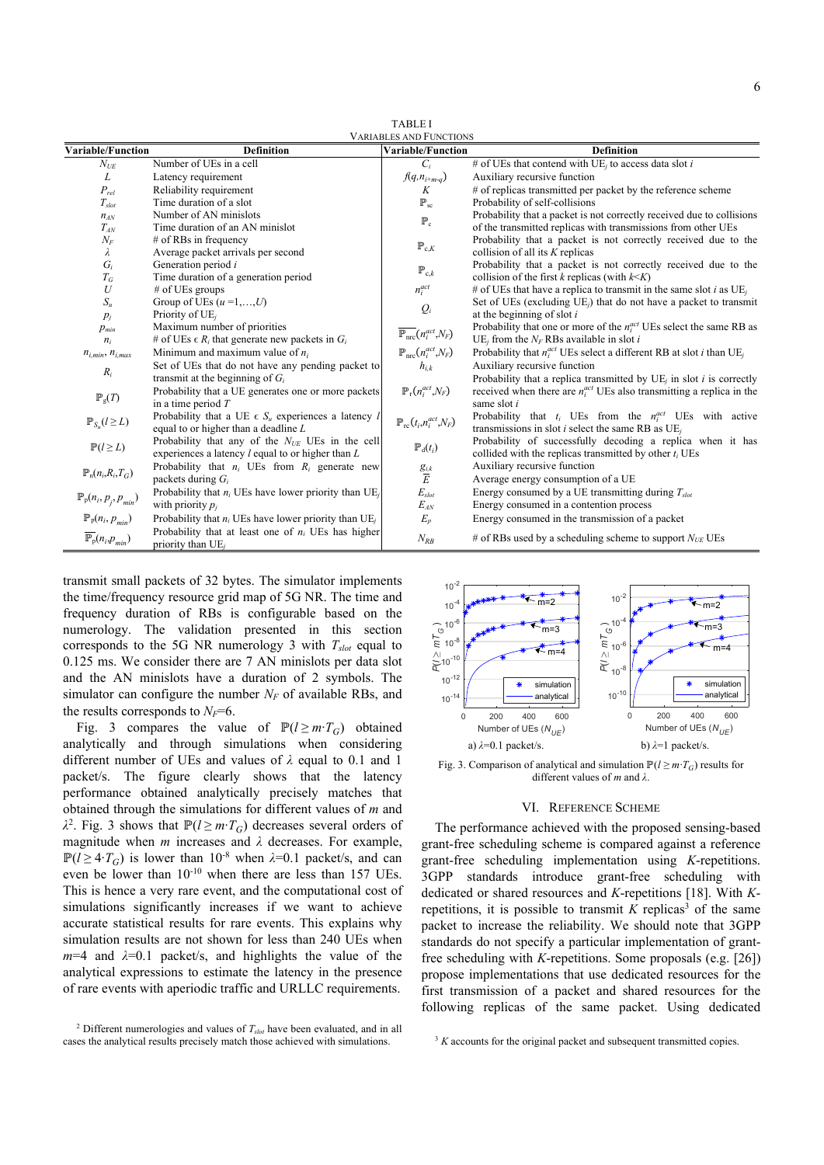| <b>TABLEI</b>                  |  |  |  |  |
|--------------------------------|--|--|--|--|
| <b>VARIABLES AND FUNCTIONS</b> |  |  |  |  |

| <b>Variable/Function</b>                | <b>Definition</b>                                                             | V AKIADLES AND I UNCTION.<br><b>Variable/Function</b> | <b>Definition</b>                                                                            |
|-----------------------------------------|-------------------------------------------------------------------------------|-------------------------------------------------------|----------------------------------------------------------------------------------------------|
| $N_{\text{UE}}$                         | Number of UEs in a cell                                                       | $C_i$                                                 | # of UEs that contend with $UE_j$ to access data slot i                                      |
| L                                       | Latency requirement                                                           | $f(q, n_{i+m-q})$                                     | Auxiliary recursive function                                                                 |
| $P_{rel}$                               | Reliability requirement                                                       | K                                                     | # of replicas transmitted per packet by the reference scheme                                 |
| $T_{slot}$                              | Time duration of a slot                                                       | $\mathbb{P}_\mathrm{sc}$                              | Probability of self-collisions                                                               |
| $n_{AN}$                                | Number of AN minislots                                                        | $\mathbb{P}_{c}$                                      | Probability that a packet is not correctly received due to collisions                        |
| $T_{AN}$                                | Time duration of an AN minislot                                               |                                                       | of the transmitted replicas with transmissions from other UEs                                |
| $N_F$                                   | $#$ of RBs in frequency                                                       | $\mathbb{P}_{c,K}$                                    | Probability that a packet is not correctly received due to the                               |
| λ                                       | Average packet arrivals per second                                            |                                                       | collision of all its $K$ replicas                                                            |
| $G_i$                                   | Generation period i                                                           | $\mathbb{P}_{c,k}$                                    | Probability that a packet is not correctly received due to the                               |
| $T_G$                                   | Time duration of a generation period                                          |                                                       | collision of the first $k$ replicas (with $k \le K$ )                                        |
| U                                       | $#$ of UEs groups                                                             | $n_i^{act}$                                           | # of UEs that have a replica to transmit in the same slot i as $UEi$                         |
| $S_u$                                   | Group of UEs $(u=1,,U)$                                                       | $Q_i$                                                 | Set of UEs (excluding $UE_i$ ) that do not have a packet to transmit                         |
| $p_i$                                   | Priority of $UE_i$                                                            |                                                       | at the beginning of slot $i$                                                                 |
| $p_{min}$                               | Maximum number of priorities                                                  | $\overline{\mathbb{P}_{\rm nrc}}(n_i^{act},N_F)$      | Probability that one or more of the $n_i^{act}$ UEs select the same RB as                    |
| $n_i$                                   | # of UEs $\in R_i$ that generate new packets in $G_i$                         |                                                       | UE <sub>i</sub> from the $N_F$ RBs available in slot i                                       |
| $n_{i,min}$ , $n_{i,max}$               | Minimum and maximum value of $n_i$                                            | $\mathbb{P}_{\rm nrc}(n_i^{act},N_F)$                 | Probability that $n_i^{act}$ UEs select a different RB at slot <i>i</i> than UE <sub>i</sub> |
| $R_i$                                   | Set of UEs that do not have any pending packet to                             | $h_{i,k}$                                             | Auxiliary recursive function                                                                 |
|                                         | transmit at the beginning of $G_i$                                            |                                                       | Probability that a replica transmitted by $UEi$ in slot <i>i</i> is correctly                |
| $\mathbb{P}_{g}(T)$                     | Probability that a UE generates one or more packets                           | $\mathbb{P}_{r}(n_i^{act},N_F)$                       | received when there are $n_i^{act}$ UEs also transmitting a replica in the                   |
|                                         | in a time period $T$                                                          |                                                       | same slot i                                                                                  |
| $\mathbb{P}_{S_u}(l \geq L)$            | Probability that a UE $\epsilon$ S <sub>u</sub> experiences a latency l       | $\mathbb{P}_{\mathrm{rc}}(t_i,n_i^{act},N_F)$         | Probability that $t_i$ UEs from the $n_i^{act}$ UEs with active                              |
|                                         | equal to or higher than a deadline $L$                                        |                                                       | transmissions in slot $i$ select the same RB as $UE_i$                                       |
| $\mathbb{P}(l \geq L)$                  | Probability that any of the $N_{UE}$ UEs in the cell                          | $\mathbb{P}_{\mathrm{d}}(t_i)$                        | Probability of successfully decoding a replica when it has                                   |
|                                         | experiences a latency $l$ equal to or higher than $L$                         |                                                       | collided with the replicas transmitted by other $t_i$ UEs                                    |
| $\mathbb{P}_n(n_i,R_i,T_G)$             | Probability that $n_i$ UEs from $R_i$ generate new                            | $\frac{g_{i,k}}{E}$                                   | Auxiliary recursive function                                                                 |
|                                         | packets during $G_i$                                                          |                                                       | Average energy consumption of a UE                                                           |
| $\mathbb{P}_{p}(n_i, p_j, p_{min})$     | Probability that $n_i$ UEs have lower priority than UE <sub>i</sub>           | $E_{slot}$                                            | Energy consumed by a UE transmitting during $T_{slot}$                                       |
|                                         | with priority $p_i$                                                           | $E_{AN}$                                              | Energy consumed in a contention process                                                      |
| $\mathbb{P}_{p}(n_i, p_{min})$          | Probability that $n_i$ UEs have lower priority than UE <sub>i</sub>           | $E_p$                                                 | Energy consumed in the transmission of a packet                                              |
| $\overline{\mathbb{P}_p}(n_i, p_{min})$ | Probability that at least one of $n_i$ UEs has higher<br>priority than $UE_i$ | $N_{RB}$                                              | # of RBs used by a scheduling scheme to support $N_{UE}$ UEs                                 |

transmit small packets of 32 bytes. The simulator implements the time/frequency resource grid map of 5G NR. The time and frequency duration of RBs is configurable based on the numerology. The validation presented in this section corresponds to the 5G NR numerology 3 with *Tslot* equal to 0.125 ms. We consider there are 7 AN minislots per data slot and the AN minislots have a duration of 2 symbols. The simulator can configure the number  $N_F$  of available RBs, and the results corresponds to  $N_F=6$ .

Fig. 3 compares the value of  $\mathbb{P}(l \ge m \cdot T_G)$  obtained analytically and through simulations when considering different number of UEs and values of *λ* equal to 0.1 and 1 packet/s. The figure clearly shows that the latency performance obtained analytically precisely matches that obtained through the simulations for different values of *m* and  $\lambda^2$ . Fig. 3 shows that  $\mathbb{P}(l \geq m \cdot T_G)$  decreases several orders of magnitude when *m* increases and *λ* decreases. For example,  $\mathbb{P}(l \geq 4 \cdot T_G)$  is lower than 10<sup>-8</sup> when  $\lambda$ =0.1 packet/s, and can even be lower than 10-10 when there are less than 157 UEs. This is hence a very rare event, and the computational cost of simulations significantly increases if we want to achieve accurate statistical results for rare events. This explains why simulation results are not shown for less than 240 UEs when  $m=4$  and  $\lambda=0.1$  packet/s, and highlights the value of the analytical expressions to estimate the latency in the presence of rare events with aperiodic traffic and URLLC requirements.



Fig. 3. Comparison of analytical and simulation  $\mathbb{P}(l \geq m \cdot T_G)$  results for different values of *m* and *λ*.

## VI. REFERENCE SCHEME

The performance achieved with the proposed sensing-based grant-free scheduling scheme is compared against a reference grant-free scheduling implementation using *K*-repetitions. 3GPP standards introduce grant-free scheduling with dedicated or shared resources and *K*-repetitions [18]. With *K*repetitions, it is possible to transmit  $K$  replicas<sup>3</sup> of the same packet to increase the reliability. We should note that 3GPP standards do not specify a particular implementation of grantfree scheduling with *K*-repetitions. Some proposals (e.g. [26]) propose implementations that use dedicated resources for the first transmission of a packet and shared resources for the following replicas of the same packet. Using dedicated

<sup>&</sup>lt;sup>2</sup> Different numerologies and values of  $T_{slot}$  have been evaluated, and in all cases the analytical results precisely match those achieved with simulations.

<sup>&</sup>lt;sup>3</sup> *K* accounts for the original packet and subsequent transmitted copies.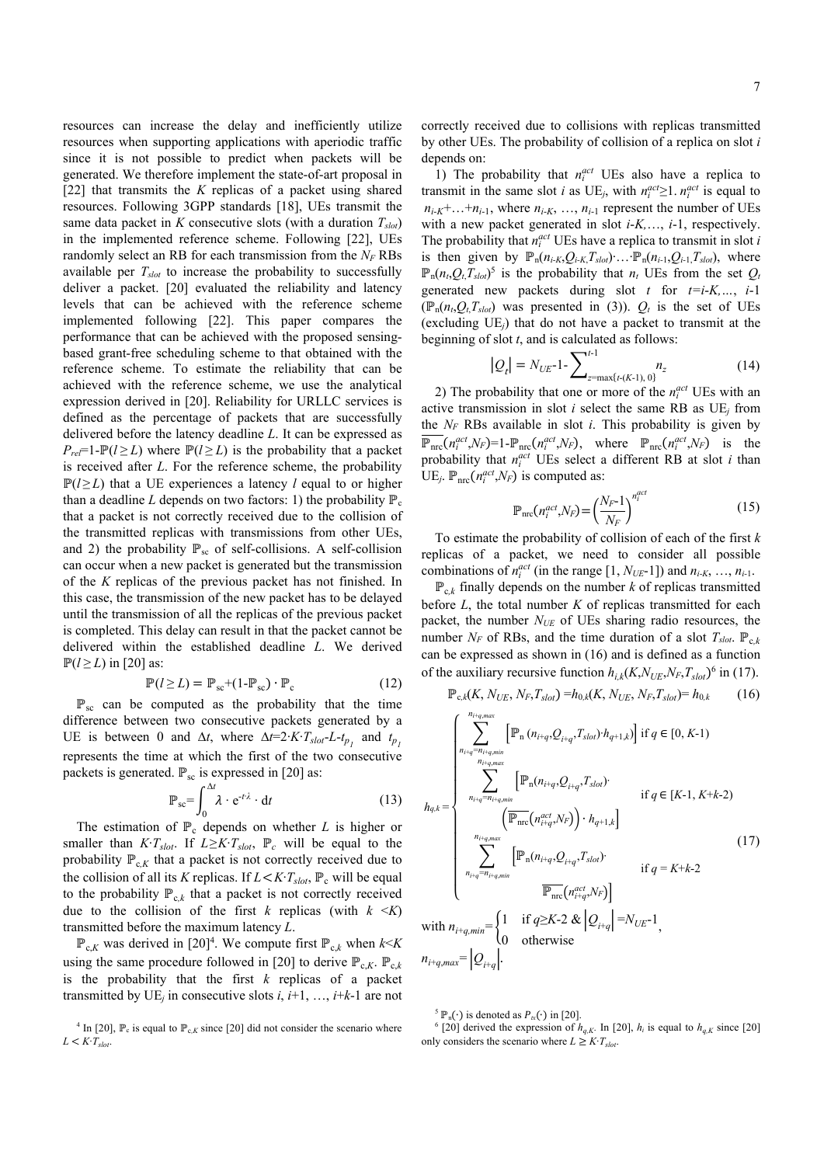resources can increase the delay and inefficiently utilize resources when supporting applications with aperiodic traffic since it is not possible to predict when packets will be generated. We therefore implement the state-of-art proposal in [22] that transmits the *K* replicas of a packet using shared resources. Following 3GPP standards [18], UEs transmit the same data packet in  $K$  consecutive slots (with a duration  $T_{slot}$ ) in the implemented reference scheme. Following [22], UEs randomly select an RB for each transmission from the  $N_F$  RBs available per  $T_{slot}$  to increase the probability to successfully deliver a packet. [20] evaluated the reliability and latency levels that can be achieved with the reference scheme implemented following [22]. This paper compares the performance that can be achieved with the proposed sensingbased grant-free scheduling scheme to that obtained with the reference scheme. To estimate the reliability that can be achieved with the reference scheme, we use the analytical expression derived in [20]. Reliability for URLLC services is defined as the percentage of packets that are successfully delivered before the latency deadline *L*. It can be expressed as  $P_{rel}$ =1- $P(l \ge L)$  where  $P(l \ge L)$  is the probability that a packet is received after *L*. For the reference scheme, the probability  $\mathbb{P}(l \geq L)$  that a UE experiences a latency *l* equal to or higher than a deadline *L* depends on two factors: 1) the probability  $\mathbb{P}_{c}$ that a packet is not correctly received due to the collision of the transmitted replicas with transmissions from other UEs, and 2) the probability  $\mathbb{P}_{sc}$  of self-collisions. A self-collision can occur when a new packet is generated but the transmission of the *K* replicas of the previous packet has not finished. In this case, the transmission of the new packet has to be delayed until the transmission of all the replicas of the previous packet is completed. This delay can result in that the packet cannot be delivered within the established deadline *L*. We derived  $\mathbb{P}(l \geq L)$  in [20] as:

$$
\mathbb{P}(l \ge L) = \mathbb{P}_{sc} + (1 - \mathbb{P}_{sc}) \cdot \mathbb{P}_{c}
$$
 (12)

 $\mathbb{P}_{\text{sc}}$  can be computed as the probability that the time difference between two consecutive packets generated by a UE is between 0 and  $\Delta t$ , where  $\Delta t = 2 \cdot K \cdot T_{slot} - L - t_{p_1}$  and  $t_{p_1}$ represents the time at which the first of the two consecutive packets is generated.  $\mathbb{P}_{\text{sc}}$  is expressed in [20] as:

$$
\mathbb{P}_{\text{sc}} = \int_0^{\Delta t} \lambda \cdot \mathbf{e}^{-t\lambda} \cdot \mathbf{d}t \tag{13}
$$

The estimation of  $\mathbb{P}_c$  depends on whether *L* is higher or smaller than  $K \cdot T_{slot}$ . If  $L \geq K \cdot T_{slot}$ ,  $\mathbb{P}_c$  will be equal to the probability  $\mathbb{P}_{c,K}$  that a packet is not correctly received due to the collision of all its *K* replicas. If  $L < K \cdot T_{slot}$ , **P**<sub>c</sub> will be equal to the probability  $\mathbb{P}_{c,k}$  that a packet is not correctly received due to the collision of the first  $k$  replicas (with  $k \leq K$ ) transmitted before the maximum latency *L*.

 $\mathbb{P}_{c,K}$  was derived in [20]<sup>4</sup>. We compute first  $\mathbb{P}_{c,k}$  when  $k \le K$ using the same procedure followed in [20] to derive  $\mathbb{P}_{c,K}$ .  $\mathbb{P}_{c,k}$ is the probability that the first *k* replicas of a packet transmitted by UE<sub>i</sub> in consecutive slots  $i, i+1, ..., i+k-1$  are not

<sup>4</sup> In [20],  $\mathbb{P}_c$  is equal to  $\mathbb{P}_{c,K}$  since [20] did not consider the scenario where  $L < K$ <sup>*·T<sub>slot</sub>*.</sup>

correctly received due to collisions with replicas transmitted by other UEs. The probability of collision of a replica on slot *i* depends on:

1) The probability that  $n_i^{act}$  UEs also have a replica to transmit in the same slot *i* as UE<sub>*j*</sub>, with  $n_i^{act} \geq 1$ .  $n_i^{act}$  is equal to  $n_{i-K}$ +...+ $n_{i-1}$ , where  $n_{i-K}$ , ...,  $n_{i-1}$  represent the number of UEs with a new packet generated in slot *i*-*K,*…, *i*-1, respectively. The probability that  $n_i^{act}$  UEs have a replica to transmit in slot *i* is then given by  $\mathbb{P}_n(n_{i-K}, Q_{i-K}, T_{slot})$ ∙ …• $\mathbb{P}_n(n_{i-1}, Q_{i-1}, T_{slot})$ , where  $\mathbb{P}_n(n_t, Q_t, T_{slot})^5$  is the probability that  $n_t$  UEs from the set  $Q_t$ generated new packets during slot *t* for *t=i*-*K,…*, *i*-1  $(\mathbb{P}_n(n_t, Q_t, T_{slot})$  was presented in (3)).  $Q_t$  is the set of UEs (excluding UE*j*) that do not have a packet to transmit at the beginning of slot *t*, and is calculated as follows:

$$
|Q_t| = N_{UE} \cdot 1 - \sum_{z=\max\{t-(K-1),\ 0\}}^{t-1} n_z
$$
 (14)

2) The probability that one or more of the  $n_i^{act}$  UEs with an active transmission in slot *i* select the same RB as UE*j* from the  $N_F$  RBs available in slot *i*. This probability is given by  $\overline{\mathbb{P}_{\text{mc}}}(n_i^{act},N_F)=1-\mathbb{P}_{\text{mc}}(n_i^{act},N_F)$ , where  $\mathbb{P}_{\text{mc}}(n_i^{act},N_F)$  is the probability that  $n_i^{act}$  UEs select a different RB at slot *i* than UE<sub>*j*</sub>.  $\mathbb{P}_{\text{nrc}}(n_i^{act},N_F)$  is computed as:

$$
\mathbb{P}_{\text{nrc}}(n_i^{act}, N_F) = \left(\frac{N_F - 1}{N_F}\right)^{n_i^{act}}\tag{15}
$$

To estimate the probability of collision of each of the first *k*  replicas of a packet, we need to consider all possible combinations of  $n_i^{act}$  (in the range [1,  $N_{UE}$ -1]) and  $n_{i-K}$ , ...,  $n_{i-1}$ .

 $\mathbb{P}_{c,k}$  finally depends on the number *k* of replicas transmitted before *L*, the total number *K* of replicas transmitted for each packet, the number *NUE* of UEs sharing radio resources, the number  $N_F$  of RBs, and the time duration of a slot  $T_{slot}$ .  $\mathbb{P}_{c,k}$ can be expressed as shown in (16) and is defined as a function of the auxiliary recursive function  $h_{i,k}(K, N_{UE}, N_F, T_{slot})^6$  in (17).

$$
\mathbb{P}_{c,k}(K, N_{UE}, N_F, T_{slot}) = h_{0,k}(K, N_{UE}, N_F, T_{slot}) = h_{0,k} \tag{16}
$$

$$
h_{q,k} = \begin{cases} \sum_{n_{i+q} = n_{i+q,min}}^{n_{i+q,max}} \left[ \mathbb{P}_{n} \left( n_{i+q}, Q_{i+q}, T_{slot} \right) \cdot h_{q+1,k} \right] \text{ if } q \in [0, K-1) \\ \sum_{n_{i+q} = n_{i+q,min}}^{n_{i+q,max}} \left[ \mathbb{P}_{n} \left( n_{i+q}, Q_{i+q}, T_{slot} \right) \right] & \text{ if } q \in [K-1, K+k-2) \\ \left( \overline{\mathbb{P}_{\text{mc}} \left( n_{i+q}^{act}, N_F \right)} \right) \cdot h_{q+1,k} \right] \\ \sum_{n_{i+q,max}}^{n_{i+q,max}} \left[ \mathbb{P}_{n} \left( n_{i+q}, Q_{i+q}, T_{slot} \right) \right] & \text{ if } q = K+k-2 \\ \overline{\mathbb{P}_{\text{mc}} \left( n_{i+q}^{act}, N_F \right)} \right] \\ \text{with } n_{i+q,min} = \begin{cases} 1 & \text{ if } q \geq K-2 \& \left| Q_{i+q} \right| = N_{UE} - 1 \\ 0 & \text{ otherwise} \end{cases} \\ n_{i+q,max} = \left| Q_{i+q} \right|. \end{cases} \tag{17}
$$

<sup>5</sup>  $\mathbb{P}_n(\cdot)$  is denoted as  $P_{tx}(\cdot)$  in [20].

<sup>&</sup>lt;sup>6</sup> [20] derived the expression of  $h_{q,K}$ . In [20],  $h_i$  is equal to  $h_{q,K}$  since [20] only considers the scenario where  $L \geq K \cdot T_{slot}$ .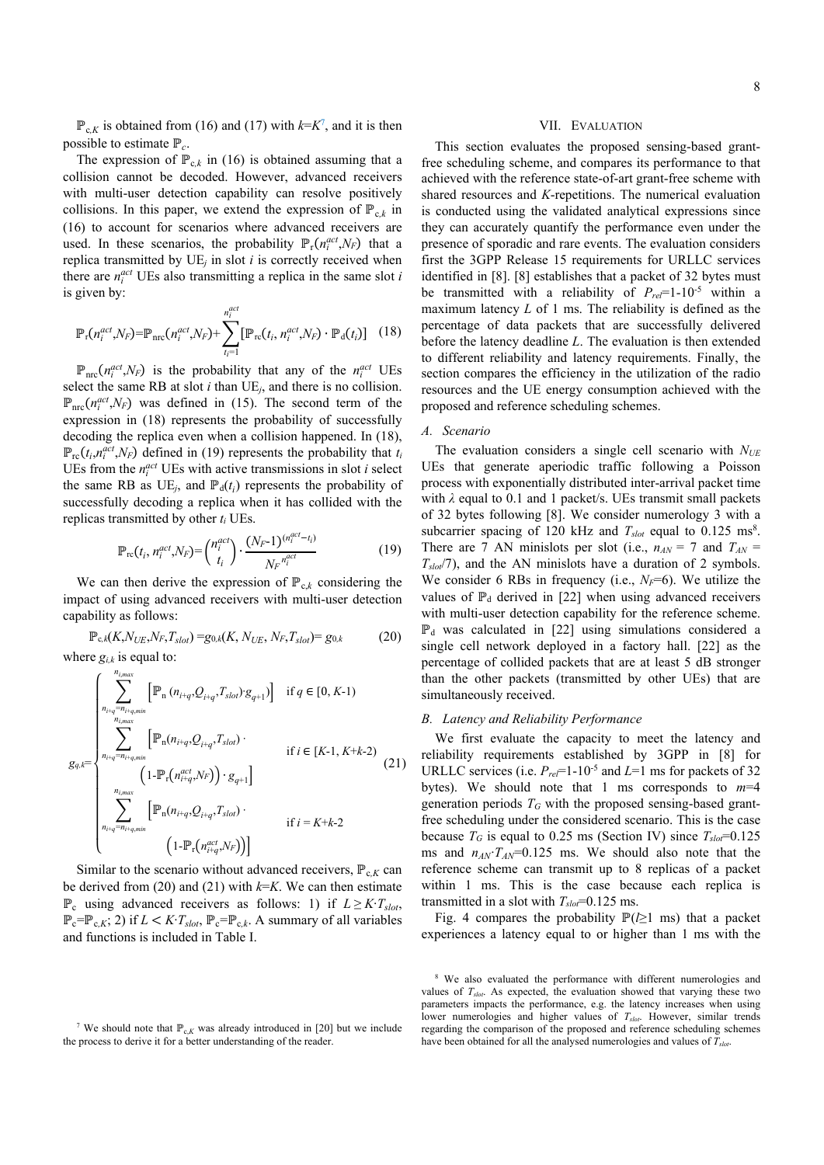$\mathbb{P}_{c,K}$  is obtained from (16) and (17) with  $k=K^7$ , and it is then possible to estimate ℙ*c*.

The expression of  $\mathbb{P}_{c,k}$  in (16) is obtained assuming that a collision cannot be decoded. However, advanced receivers with multi-user detection capability can resolve positively collisions. In this paper, we extend the expression of  $\mathbb{P}_{c,k}$  in (16) to account for scenarios where advanced receivers are used. In these scenarios, the probability  $\mathbb{P}_r(n_i^{act}, N_F)$  that a replica transmitted by  $UE<sub>i</sub>$  in slot *i* is correctly received when there are  $n_i^{act}$  UEs also transmitting a replica in the same slot *i* is given by:

$$
\mathbb{P}_{\mathbf{r}}(n_i^{act},N_F) = \mathbb{P}_{\text{nrc}}(n_i^{act},N_F) + \sum_{t_i=1}^{n_i^{act}} [\mathbb{P}_{\text{rc}}(t_i, n_i^{act},N_F) \cdot \mathbb{P}_{\text{d}}(t_i)] \quad (18)
$$

 $\mathbb{P}_{\text{mc}}(n_i^{act}, N_F)$  is the probability that any of the  $n_i^{act}$  UEs select the same RB at slot *i* than UE*j*, and there is no collision.  $\mathbb{P}_{\text{nrc}}(n_i^{act}, N_F)$  was defined in (15). The second term of the expression in (18) represents the probability of successfully decoding the replica even when a collision happened. In (18),  $\mathbb{P}_{\text{rc}}(t_i, n_i^{act}, N_F)$  defined in (19) represents the probability that  $t_i$ UEs from the  $n_i^{act}$  UEs with active transmissions in slot *i* select the same RB as  $UE_j$ , and  $\mathbb{P}_d(t_i)$  represents the probability of successfully decoding a replica when it has collided with the replicas transmitted by other *ti* UEs.

$$
\mathbb{P}_{rc}(t_i, n_i^{act}, N_F) = {n_i^{act} \choose t_i} \cdot \frac{(N_F - 1)^{(n_i^{act} - t_i)}}{N_F^{n_i^{act}}} \tag{19}
$$

We can then derive the expression of  $\mathbb{P}_{c,k}$  considering the impact of using advanced receivers with multi-user detection capability as follows:

$$
\mathbb{P}_{c,k}(K, N_{UE}, N_F, T_{slot}) = g_{0,k}(K, N_{UE}, N_F, T_{slot}) = g_{0,k} \tag{20}
$$

where  $g_{i,k}$  is equal to:

$$
g_{q,k} = \begin{cases} \sum_{n_{i+q} = n_{i+q,min}}^{n_{i,max}} [\mathbb{P}_{n} (n_{i+q}, Q_{i+q}, T_{slot}) g_{q+1})] & \text{if } q \in [0, K-1) \\ \sum_{n_{i,max}}^{n_{i,max}} [\mathbb{P}_{n} (n_{i+q}, Q_{i+q}, T_{slot}) & \text{if } i \in [K-1, K+k-2) \\ (1 - \mathbb{P}_{r} (n_{i+q}^{act}, N_F)) \cdot g_{q+1}] & \\ \sum_{n_{i+q} = n_{i+q,min}}^{n_{i,max}} [\mathbb{P}_{n} (n_{i+q}, Q_{i+q}, T_{slot}) & \text{if } i = K+k-2 \\ (1 - \mathbb{P}_{r} (n_{i+q}^{act}, N_F))] & \end{cases} \tag{21}
$$

Similar to the scenario without advanced receivers,  $\mathbb{P}_{c,K}$  can be derived from (20) and (21) with  $k=K$ . We can then estimate  $\mathbb{P}_c$  using advanced receivers as follows: 1) if *L* ≥ *K*⋅*T<sub>slot</sub>*,  $\mathbb{P}_c = \mathbb{P}_{c,K}$ ; 2) if  $L < K$ *T<sub>slot</sub>*,  $\mathbb{P}_c = \mathbb{P}_{c,k}$ . A summary of all variables and functions is included in Table I.

#### VII. EVALUATION

This section evaluates the proposed sensing-based grantfree scheduling scheme, and compares its performance to that achieved with the reference state-of-art grant-free scheme with shared resources and *K*-repetitions. The numerical evaluation is conducted using the validated analytical expressions since they can accurately quantify the performance even under the presence of sporadic and rare events. The evaluation considers first the 3GPP Release 15 requirements for URLLC services identified in [8]. [8] establishes that a packet of 32 bytes must be transmitted with a reliability of *Prel*=1-10-5 within a maximum latency *L* of 1 ms. The reliability is defined as the percentage of data packets that are successfully delivered before the latency deadline *L*. The evaluation is then extended to different reliability and latency requirements. Finally, the section compares the efficiency in the utilization of the radio resources and the UE energy consumption achieved with the proposed and reference scheduling schemes.

# *A. Scenario*

The evaluation considers a single cell scenario with  $N_{UE}$ UEs that generate aperiodic traffic following a Poisson process with exponentially distributed inter-arrival packet time with *λ* equal to 0.1 and 1 packet/s. UEs transmit small packets of 32 bytes following [8]. We consider numerology 3 with a subcarrier spacing of 120 kHz and  $T_{slot}$  equal to 0.125 ms<sup>8</sup>. There are 7 AN minislots per slot (i.e.,  $n_{AN} = 7$  and  $T_{AN} = 7$ *Tslot*/7), and the AN minislots have a duration of 2 symbols. We consider 6 RBs in frequency (i.e.,  $N_F=6$ ). We utilize the values of  $\mathbb{P}_d$  derived in [22] when using advanced receivers with multi-user detection capability for the reference scheme.  $\mathbb{P}_d$  was calculated in [22] using simulations considered a single cell network deployed in a factory hall. [22] as the percentage of collided packets that are at least 5 dB stronger than the other packets (transmitted by other UEs) that are simultaneously received.

# *B. Latency and Reliability Performance*

We first evaluate the capacity to meet the latency and reliability requirements established by 3GPP in [8] for URLLC services (i.e.  $P_{rel}$ =1-10<sup>-5</sup> and *L*=1 ms for packets of 32 bytes). We should note that 1 ms corresponds to *m*=4 generation periods  $T_G$  with the proposed sensing-based grantfree scheduling under the considered scenario. This is the case because  $T_G$  is equal to 0.25 ms (Section IV) since  $T_{slot} = 0.125$ ms and  $n_{AN}$ <sup>*T<sub>AN</sub>*=0.125 ms. We should also note that the</sup> reference scheme can transmit up to 8 replicas of a packet within 1 ms. This is the case because each replica is transmitted in a slot with  $T_{slot} = 0.125$  ms.

Fig. 4 compares the probability ℙ(*l*≥1 ms) that a packet experiences a latency equal to or higher than 1 ms with the

<sup>&</sup>lt;sup>7</sup> We should note that  $\mathbb{P}_{c,K}$  was already introduced in [20] but we include the process to derive it for a better understanding of the reader.

<sup>8</sup> We also evaluated the performance with different numerologies and values of *Tslot*. As expected, the evaluation showed that varying these two parameters impacts the performance, e.g. the latency increases when using lower numerologies and higher values of  $T_{slot}$ . However, similar trends regarding the comparison of the proposed and reference scheduling schemes have been obtained for all the analysed numerologies and values of  $\overline{T}_{slot}$ .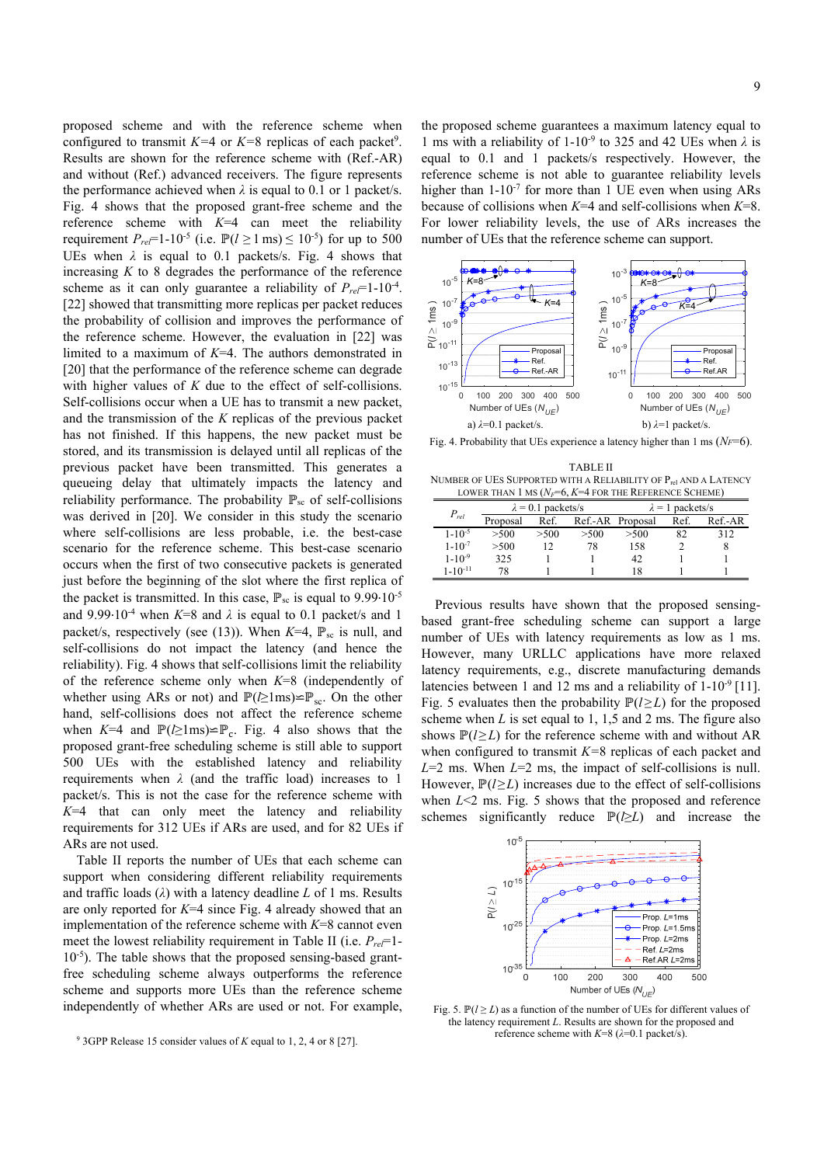proposed scheme and with the reference scheme when configured to transmit  $K=4$  or  $K=8$  replicas of each packet<sup>9</sup>. Results are shown for the reference scheme with (Ref.-AR) and without (Ref.) advanced receivers. The figure represents the performance achieved when  $\lambda$  is equal to 0.1 or 1 packet/s. Fig. 4 shows that the proposed grant-free scheme and the reference scheme with *K*=4 can meet the reliability requirement  $P_{rel}$ =1-10<sup>-5</sup> (i.e.  $\mathbb{P}(l \ge 1 \text{ ms}) \le 10^{-5}$ ) for up to 500 UEs when  $\lambda$  is equal to 0.1 packets/s. Fig. 4 shows that increasing  $K$  to  $8$  degrades the performance of the reference scheme as it can only guarantee a reliability of  $P_{rel}$ =1-10<sup>-4</sup>. [22] showed that transmitting more replicas per packet reduces the probability of collision and improves the performance of the reference scheme. However, the evaluation in [22] was limited to a maximum of *K*=4. The authors demonstrated in [20] that the performance of the reference scheme can degrade with higher values of *K* due to the effect of self-collisions. Self-collisions occur when a UE has to transmit a new packet, and the transmission of the *K* replicas of the previous packet has not finished. If this happens, the new packet must be stored, and its transmission is delayed until all replicas of the previous packet have been transmitted. This generates a queueing delay that ultimately impacts the latency and reliability performance. The probability  $\mathbb{P}_{sc}$  of self-collisions was derived in [20]. We consider in this study the scenario where self-collisions are less probable, i.e. the best-case scenario for the reference scheme. This best-case scenario occurs when the first of two consecutive packets is generated just before the beginning of the slot where the first replica of the packet is transmitted. In this case,  $\mathbb{P}_{\text{sc}}$  is equal to 9.99 $\cdot 10^{-5}$ and 9.99∙10-4 when *K*=8 and *λ* is equal to 0.1 packet/s and 1 packet/s, respectively (see (13)). When  $K=4$ ,  $\mathbb{P}_{sc}$  is null, and self-collisions do not impact the latency (and hence the reliability). Fig. 4 shows that self-collisions limit the reliability of the reference scheme only when *K*=8 (independently of whether using ARs or not) and  $\mathbb{P}(\geq 1\text{ms})\cong \mathbb{P}_{\text{sc}}$ . On the other hand, self-collisions does not affect the reference scheme when  $K=4$  and  $\mathbb{P}(\geq 1 \text{ ms}) \cong \mathbb{P}_{c}$ . Fig. 4 also shows that the proposed grant-free scheduling scheme is still able to support 500 UEs with the established latency and reliability requirements when  $\lambda$  (and the traffic load) increases to 1 packet/s. This is not the case for the reference scheme with  $K=4$  that can only meet the latency and reliability requirements for 312 UEs if ARs are used, and for 82 UEs if ARs are not used.

Table II reports the number of UEs that each scheme can support when considering different reliability requirements and traffic loads (*λ*) with a latency deadline *L* of 1 ms. Results are only reported for *K*=4 since Fig. 4 already showed that an implementation of the reference scheme with *K*=8 cannot even meet the lowest reliability requirement in Table II (i.e. *Prel*=1- 10-5). The table shows that the proposed sensing-based grantfree scheduling scheme always outperforms the reference scheme and supports more UEs than the reference scheme independently of whether ARs are used or not. For example,

the proposed scheme guarantees a maximum latency equal to 1 ms with a reliability of 1-10-9 to 325 and 42 UEs when *λ* is equal to 0.1 and 1 packets/s respectively. However, the reference scheme is not able to guarantee reliability levels higher than  $1-10^{-7}$  for more than 1 UE even when using ARs because of collisions when *K*=4 and self-collisions when *K*=8. For lower reliability levels, the use of ARs increases the number of UEs that the reference scheme can support.



Fig. 4. Probability that UEs experience a latency higher than 1 ms  $(N_F=6)$ .

TABLE II NUMBER OF UES SUPPORTED WITH A RELIABILITY OF P<sub>rel</sub> AND A LATENCY LOWER THAN 1 MS  $(N_F=6, K=4$  FOR THE REFERENCE SCHEME)

|               | $\lambda = 0.1$ packets/s |      |                  | $\lambda = 1$ packets/s |      |         |
|---------------|---------------------------|------|------------------|-------------------------|------|---------|
| $P_{rel}$     | Proposal                  | Ref. | Ref.-AR Proposal |                         | Ref. | Ref.-AR |
| $1 - 10^{-5}$ | >500                      | >500 | >500             | >500                    | 82   | 312     |
| $1 - 10^{-7}$ | >500                      |      | 78               | 158                     |      |         |
| $1 - 10^{-9}$ | 325                       |      |                  | 42                      |      |         |
| $1 - 10-11$   |                           |      |                  | 18                      |      |         |

Previous results have shown that the proposed sensingbased grant-free scheduling scheme can support a large number of UEs with latency requirements as low as 1 ms. However, many URLLC applications have more relaxed latency requirements, e.g., discrete manufacturing demands latencies between 1 and 12 ms and a reliability of  $1-10^{-9}$  [11]. Fig. 5 evaluates then the probability  $\mathbb{P}(l \geq L)$  for the proposed scheme when *L* is set equal to 1, 1,5 and 2 ms. The figure also shows  $\mathbb{P}(l \geq L)$  for the reference scheme with and without AR when configured to transmit *K=*8 replicas of each packet and *L*=2 ms. When *L*=2 ms, the impact of self-collisions is null. However, ℙ(*l*≥*L*) increases due to the effect of self-collisions when *L*<2 ms. Fig. 5 shows that the proposed and reference schemes significantly reduce  $\mathbb{P}(\geq L)$  and increase the



Fig. 5. ℙ(*l* ≥ <sup>L</sup>) as a function of the number of UEs for different values of the latency requirement *L*. Results are shown for the proposed and reference scheme with  $K=8$  ( $\lambda=0.1$  packet/s).

<sup>9</sup> 3GPP Release 15 consider values of *K* equal to 1, 2, 4 or 8 [27].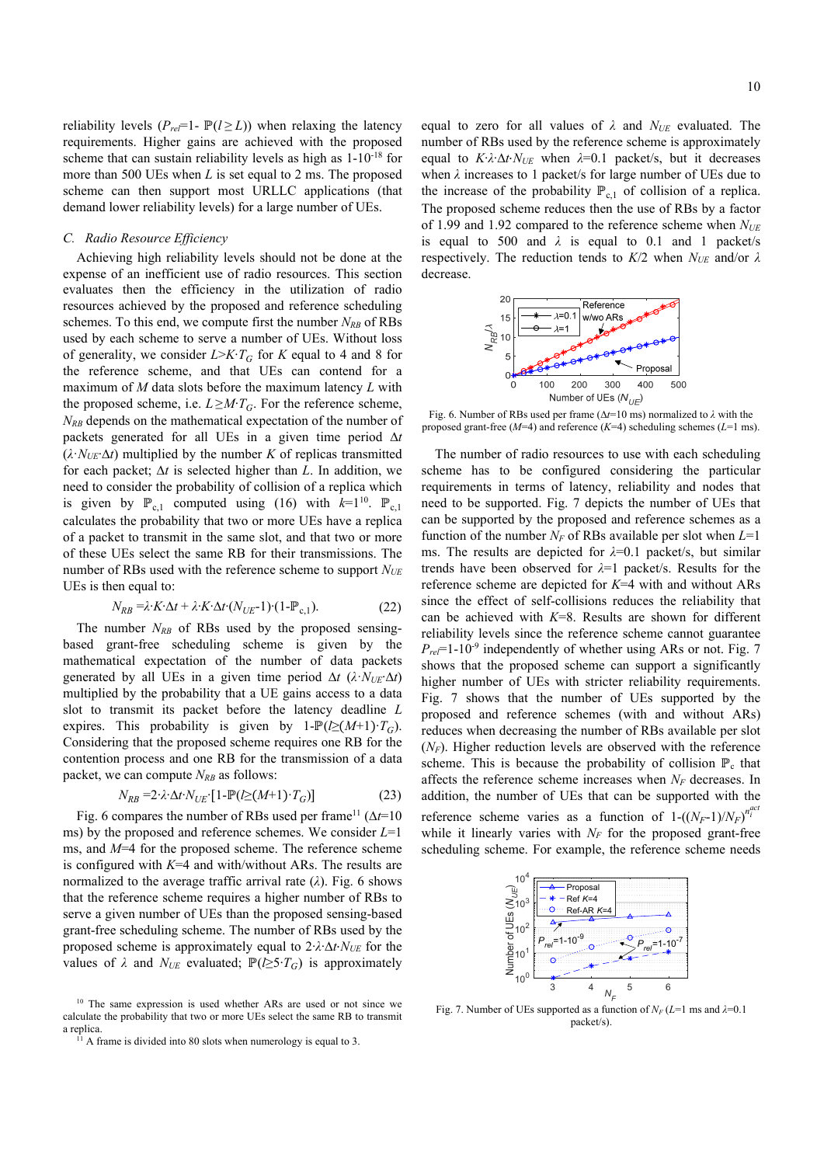reliability levels  $(P_{rel} = 1 - P(l \ge L))$  when relaxing the latency requirements. Higher gains are achieved with the proposed scheme that can sustain reliability levels as high as 1-10-18 for more than 500 UEs when *L* is set equal to 2 ms. The proposed scheme can then support most URLLC applications (that demand lower reliability levels) for a large number of UEs.

## *C. Radio Resource Efficiency*

Achieving high reliability levels should not be done at the expense of an inefficient use of radio resources. This section evaluates then the efficiency in the utilization of radio resources achieved by the proposed and reference scheduling schemes. To this end, we compute first the number  $N_{RB}$  of RBs used by each scheme to serve a number of UEs. Without loss of generality, we consider *L*>*K*∙*TG* for *K* equal to 4 and 8 for the reference scheme, and that UEs can contend for a maximum of *M* data slots before the maximum latency *L* with the proposed scheme, i.e.  $L \geq M \cdot T_G$ . For the reference scheme, *N<sub>RB</sub>* depends on the mathematical expectation of the number of packets generated for all UEs in a given time period ∆*t*  $(\lambda \cdot N_{UE} \Delta t)$  multiplied by the number *K* of replicas transmitted for each packet; ∆*t* is selected higher than *L*. In addition, we need to consider the probability of collision of a replica which is given by  $\mathbb{P}_{c,1}$  computed using (16) with  $k=1^{10}$ .  $\mathbb{P}_{c,1}$ calculates the probability that two or more UEs have a replica of a packet to transmit in the same slot, and that two or more of these UEs select the same RB for their transmissions. The number of RBs used with the reference scheme to support *NUE* UEs is then equal to:

$$
N_{RB} = \lambda \cdot K \cdot \Delta t + \lambda \cdot K \cdot \Delta t \cdot (N_{UE} - 1) \cdot (1 - P_{c,1}). \tag{22}
$$

The number  $N_{RB}$  of RBs used by the proposed sensingbased grant-free scheduling scheme is given by the mathematical expectation of the number of data packets generated by all UEs in a given time period  $\Delta t$  ( $\lambda$ ⋅ $N_{UE}$ ⋅ $\Delta t$ ) multiplied by the probability that a UE gains access to a data slot to transmit its packet before the latency deadline *L* expires. This probability is given by  $1-\mathbb{P}(\geq (M+1)\cdot T_G)$ . Considering that the proposed scheme requires one RB for the contention process and one RB for the transmission of a data packet, we can compute  $N_{RB}$  as follows:

$$
N_{RB} = 2 \cdot \lambda \cdot \Delta t \cdot N_{UE} \cdot [1 - \mathbb{P}(\ell \ge (M+1) \cdot T_G)] \tag{23}
$$

Fig. 6 compares the number of RBs used per frame11 (∆*t*=10 ms) by the proposed and reference schemes. We consider *L*=1 ms, and *M*=4 for the proposed scheme. The reference scheme is configured with *K*=4 and with/without ARs. The results are normalized to the average traffic arrival rate (*λ*). Fig. 6 shows that the reference scheme requires a higher number of RBs to serve a given number of UEs than the proposed sensing-based grant-free scheduling scheme. The number of RBs used by the proposed scheme is approximately equal to 2∙*λ*∙∆*t*⋅*NUE* for the values of  $\lambda$  and  $N_{UE}$  evaluated;  $\mathbb{P}(\ell \geq 5 \cdot T_G)$  is approximately

equal to zero for all values of *λ* and *NUE* evaluated. The number of RBs used by the reference scheme is approximately equal to *K*∙*λ*∙∆*t*⋅*NUE* when *λ*=0.1 packet/s, but it decreases when *λ* increases to 1 packet/s for large number of UEs due to the increase of the probability  $\mathbb{P}_{c,1}$  of collision of a replica. The proposed scheme reduces then the use of RBs by a factor of 1.99 and 1.92 compared to the reference scheme when  $N_{UE}$ is equal to 500 and  $\lambda$  is equal to 0.1 and 1 packet/s respectively. The reduction tends to *K*/2 when *NUE* and/or *λ* decrease.



Fig. 6. Number of RBs used per frame (∆*t*=10 ms) normalized to *λ* with the proposed grant-free (*M*=4) and reference (*K*=4) scheduling schemes (*L*=1 ms).

The number of radio resources to use with each scheduling scheme has to be configured considering the particular requirements in terms of latency, reliability and nodes that need to be supported. Fig. 7 depicts the number of UEs that can be supported by the proposed and reference schemes as a function of the number  $N_F$  of RBs available per slot when  $L=1$ ms. The results are depicted for *λ*=0.1 packet/s, but similar trends have been observed for *λ*=1 packet/s. Results for the reference scheme are depicted for *K*=4 with and without ARs since the effect of self-collisions reduces the reliability that can be achieved with *K*=8. Results are shown for different reliability levels since the reference scheme cannot guarantee  $P_{rel}$ =1-10<sup>-9</sup> independently of whether using ARs or not. Fig. 7 shows that the proposed scheme can support a significantly higher number of UEs with stricter reliability requirements. Fig. 7 shows that the number of UEs supported by the proposed and reference schemes (with and without ARs) reduces when decreasing the number of RBs available per slot (*NF*). Higher reduction levels are observed with the reference scheme. This is because the probability of collision  $\mathbb{P}_{c}$  that affects the reference scheme increases when *NF* decreases. In addition, the number of UEs that can be supported with the reference scheme varies as a function of  $1-(\frac{N_F-1}{N_F})^{n_f^{acc}}$ while it linearly varies with  $N_F$  for the proposed grant-free scheduling scheme. For example, the reference scheme needs



Fig. 7. Number of UEs supported as a function of  $N_F (L=1 \text{ ms and } \lambda=0.1$ packet/s).

<sup>&</sup>lt;sup>10</sup> The same expression is used whether ARs are used or not since we calculate the probability that two or more UEs select the same RB to transmit a replica.<br><sup>11</sup> A frame is divided into 80 slots when numerology is equal to 3.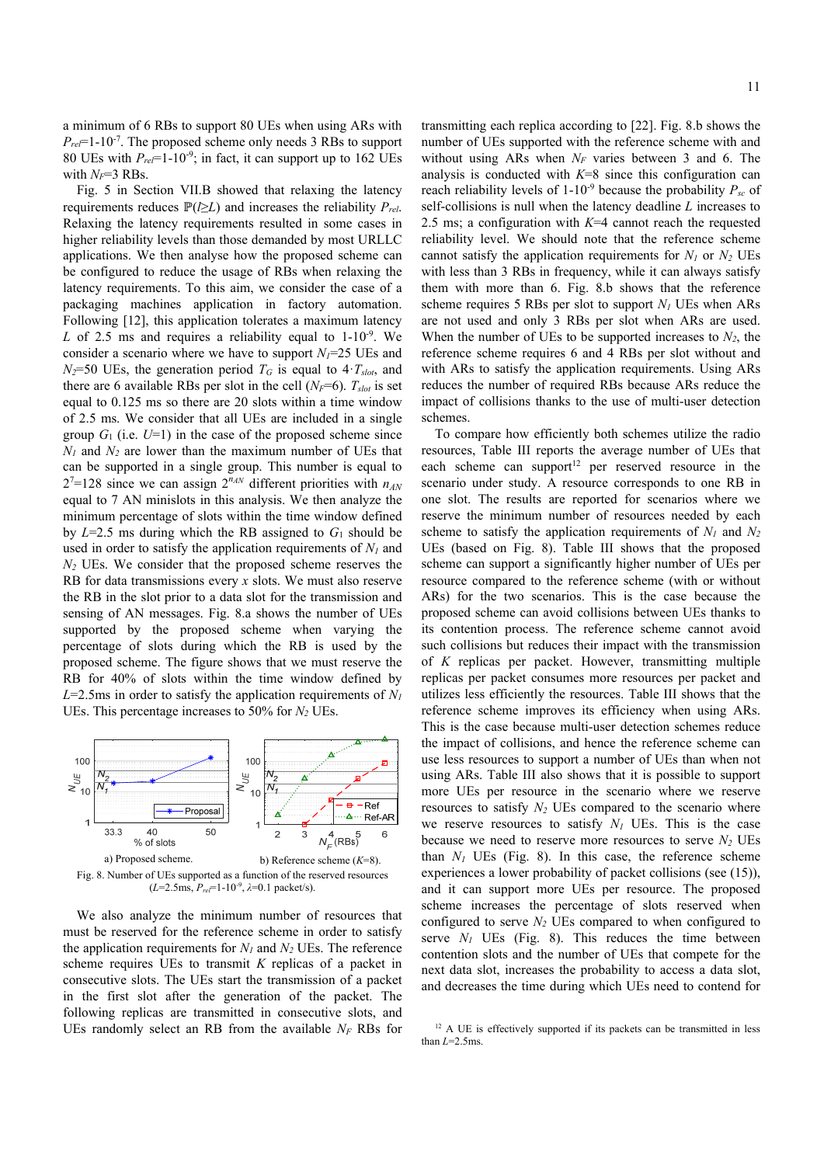a minimum of 6 RBs to support 80 UEs when using ARs with *Prel*=1-10-7. The proposed scheme only needs 3 RBs to support 80 UEs with *Prel*=1-10-9; in fact, it can support up to 162 UEs with  $N_F$ =3 RBs.

Fig. 5 in Section VII.B showed that relaxing the latency requirements reduces  $\mathbb{P}(\geq L)$  and increases the reliability  $P_{rel}$ . Relaxing the latency requirements resulted in some cases in higher reliability levels than those demanded by most URLLC applications. We then analyse how the proposed scheme can be configured to reduce the usage of RBs when relaxing the latency requirements. To this aim, we consider the case of a packaging machines application in factory automation. Following [12], this application tolerates a maximum latency *L* of 2.5 ms and requires a reliability equal to  $1-10^{-9}$ . We consider a scenario where we have to support  $N_I$ =25 UEs and  $N_2$ =50 UEs, the generation period  $T_G$  is equal to  $4 \cdot T_{slot}$ , and there are 6 available RBs per slot in the cell  $(N_F=6)$ .  $T_{slot}$  is set equal to 0.125 ms so there are 20 slots within a time window of 2.5 ms. We consider that all UEs are included in a single group  $G_1$  (i.e.  $U=1$ ) in the case of the proposed scheme since  $N_1$  and  $N_2$  are lower than the maximum number of UEs that can be supported in a single group. This number is equal to  $2^7$ =128 since we can assign  $2^{n_{AN}}$  different priorities with  $n_{AN}$ equal to 7 AN minislots in this analysis. We then analyze the minimum percentage of slots within the time window defined by  $L=2.5$  ms during which the RB assigned to  $G_1$  should be used in order to satisfy the application requirements of  $N_l$  and *N2* UEs. We consider that the proposed scheme reserves the RB for data transmissions every *x* slots. We must also reserve the RB in the slot prior to a data slot for the transmission and sensing of AN messages. Fig. 8.a shows the number of UEs supported by the proposed scheme when varying the percentage of slots during which the RB is used by the proposed scheme. The figure shows that we must reserve the RB for 40% of slots within the time window defined by  $L=2.5$ ms in order to satisfy the application requirements of  $N_l$ UEs. This percentage increases to 50% for  $N_2$  UEs.



 $(L=2.5\text{ms}, P_{ref}=1-10^{-9}, \lambda=0.1 \text{ packet/s}).$ 

We also analyze the minimum number of resources that must be reserved for the reference scheme in order to satisfy the application requirements for  $N_l$  and  $N_2$  UEs. The reference scheme requires UEs to transmit *K* replicas of a packet in consecutive slots. The UEs start the transmission of a packet in the first slot after the generation of the packet. The following replicas are transmitted in consecutive slots, and UEs randomly select an RB from the available  $N_F$  RBs for transmitting each replica according to [22]. Fig. 8.b shows the number of UEs supported with the reference scheme with and without using ARs when  $N_F$  varies between 3 and 6. The analysis is conducted with *K*=8 since this configuration can reach reliability levels of  $1-10^{-9}$  because the probability  $P_{sc}$  of self-collisions is null when the latency deadline *L* increases to 2.5 ms; a configuration with *K*=4 cannot reach the requested reliability level. We should note that the reference scheme cannot satisfy the application requirements for  $N_1$  or  $N_2$  UEs with less than 3 RBs in frequency, while it can always satisfy them with more than 6. Fig. 8.b shows that the reference scheme requires 5 RBs per slot to support  $N_I$  UEs when ARs are not used and only 3 RBs per slot when ARs are used. When the number of UEs to be supported increases to  $N_2$ , the reference scheme requires 6 and 4 RBs per slot without and with ARs to satisfy the application requirements. Using ARs reduces the number of required RBs because ARs reduce the impact of collisions thanks to the use of multi-user detection schemes.

To compare how efficiently both schemes utilize the radio resources, Table III reports the average number of UEs that each scheme can support<sup>12</sup> per reserved resource in the scenario under study. A resource corresponds to one RB in one slot. The results are reported for scenarios where we reserve the minimum number of resources needed by each scheme to satisfy the application requirements of  $N_1$  and  $N_2$ UEs (based on Fig. 8). Table III shows that the proposed scheme can support a significantly higher number of UEs per resource compared to the reference scheme (with or without ARs) for the two scenarios. This is the case because the proposed scheme can avoid collisions between UEs thanks to its contention process. The reference scheme cannot avoid such collisions but reduces their impact with the transmission of *K* replicas per packet. However, transmitting multiple replicas per packet consumes more resources per packet and utilizes less efficiently the resources. Table III shows that the reference scheme improves its efficiency when using ARs. This is the case because multi-user detection schemes reduce the impact of collisions, and hence the reference scheme can use less resources to support a number of UEs than when not using ARs. Table III also shows that it is possible to support more UEs per resource in the scenario where we reserve resources to satisfy  $N_2$  UEs compared to the scenario where we reserve resources to satisfy  $N_I$  UEs. This is the case because we need to reserve more resources to serve  $N_2$  UEs than  $N_1$  UEs (Fig. 8). In this case, the reference scheme experiences a lower probability of packet collisions (see (15)), and it can support more UEs per resource. The proposed scheme increases the percentage of slots reserved when configured to serve  $N_2$  UEs compared to when configured to serve  $N_I$  UEs (Fig. 8). This reduces the time between contention slots and the number of UEs that compete for the next data slot, increases the probability to access a data slot, and decreases the time during which UEs need to contend for

<sup>&</sup>lt;sup>12</sup> A UE is effectively supported if its packets can be transmitted in less than  $L=2.5$ ms.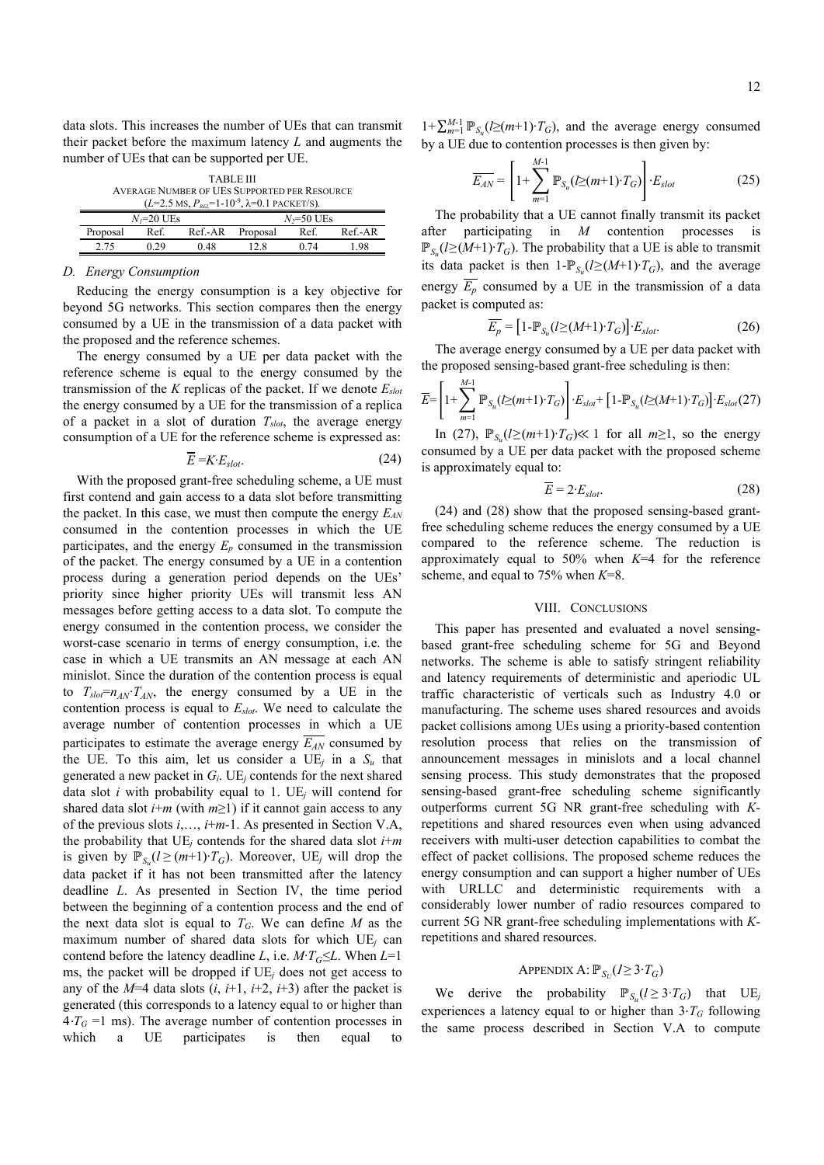data slots. This increases the number of UEs that can transmit their packet before the maximum latency *L* and augments the number of UEs that can be supported per UE.

| TABLE III                                                   |              |  |  |
|-------------------------------------------------------------|--------------|--|--|
| AVERAGE NUMBER OF UES SUPPORTED PER RESOURCE                |              |  |  |
| $(L=2.5$ MS, $P_{rel}=1-10^{-9}$ , $\lambda=0.1$ PACKET/S). |              |  |  |
| $N = 20$ HE <sub>s</sub>                                    | $N = 50$ HEe |  |  |

|          | $N1=20$ UEs |      |                  | $N7=50$ UEs |          |
|----------|-------------|------|------------------|-------------|----------|
| Proposal | Ref.        |      | Ref.-AR Proposal | Ref.        | $Ref-AR$ |
| 2.75     | በ 29        | 0.48 |                  | 0.74        | 1.98     |
|          |             |      |                  |             |          |

# *D. Energy Consumption*

Reducing the energy consumption is a key objective for beyond 5G networks. This section compares then the energy consumed by a UE in the transmission of a data packet with the proposed and the reference schemes.

The energy consumed by a UE per data packet with the reference scheme is equal to the energy consumed by the transmission of the *K* replicas of the packet. If we denote *Eslot* the energy consumed by a UE for the transmission of a replica of a packet in a slot of duration *Tslot*, the average energy consumption of a UE for the reference scheme is expressed as:

$$
\overline{E} = K \cdot E_{slot}.\tag{24}
$$

With the proposed grant-free scheduling scheme, a UE must first contend and gain access to a data slot before transmitting the packet. In this case, we must then compute the energy  $E_{AN}$ consumed in the contention processes in which the UE participates, and the energy  $E_p$  consumed in the transmission of the packet. The energy consumed by a UE in a contention process during a generation period depends on the UEs' priority since higher priority UEs will transmit less AN messages before getting access to a data slot. To compute the energy consumed in the contention process, we consider the worst-case scenario in terms of energy consumption, i.e. the case in which a UE transmits an AN message at each AN minislot. Since the duration of the contention process is equal to  $T_{slot} = n_{AN} \cdot T_{AN}$ , the energy consumed by a UE in the contention process is equal to *Eslot*. We need to calculate the average number of contention processes in which a UE participates to estimate the average energy  $\overline{E_{AN}}$  consumed by the UE. To this aim, let us consider a  $UE_j$  in a  $S_u$  that generated a new packet in *Gi*. UE*j* contends for the next shared data slot *i* with probability equal to 1.  $UE<sub>i</sub>$  will contend for shared data slot  $i+m$  (with  $m \ge 1$ ) if it cannot gain access to any of the previous slots *i*,…, *i*+*m*-1. As presented in Section V.A, the probability that  $UE<sub>j</sub>$  contends for the shared data slot  $i+m$ is given by  $\mathbb{P}_{S_1}(l \geq (m+1) \cdot T_G)$ . Moreover, UE<sub>*j*</sub> will drop the data packet if it has not been transmitted after the latency deadline *L*. As presented in Section IV, the time period between the beginning of a contention process and the end of the next data slot is equal to  $T_G$ . We can define  $M$  as the maximum number of shared data slots for which UE*j* can contend before the latency deadline *L*, i.e.  $M$ <sup>*·T*</sup> $G \leq L$ . When *L*=1 ms, the packet will be dropped if UE*j* does not get access to any of the  $M=4$  data slots  $(i, i+1, i+2, i+3)$  after the packet is generated (this corresponds to a latency equal to or higher than  $4 \cdot T_G = 1$  ms). The average number of contention processes in which a UE participates is then equal to

 $1+\sum_{m=1}^{M-1} \mathbb{P}_{S_u}(\geq(m+1)\cdot T_G)$ , and the average energy consumed by a UE due to contention processes is then given by:

$$
\overline{E_{AN}} = \left[1 + \sum_{m=1}^{M-1} \mathbb{P}_{S_u}(I \geq (m+1) \cdot T_G)\right] \cdot E_{slot} \tag{25}
$$

The probability that a UE cannot finally transmit its packet after participating in *M* contention processes is  $\mathbb{P}_{S_{n}}(l \geq (M+1) \cdot T_{G})$ . The probability that a UE is able to transmit its data packet is then 1- $\mathbb{P}_{S_n}(l \geq (M+1) \cdot T_G)$ , and the average energy  $\overline{E_p}$  consumed by a UE in the transmission of a data packet is computed as:

$$
\overline{E_p} = \left[1 - \mathbb{P}_{S_u}(l \geq (M+1) \cdot T_G)\right] \cdot E_{slot}.
$$
\n(26)

The average energy consumed by a UE per data packet with the proposed sensing-based grant-free scheduling is then:

$$
\overline{E} = \left[1 + \sum_{m=1}^{M-1} \mathbb{P}_{S_u}(l \ge (m+1) \cdot T_G)\right] \cdot E_{slot} + \left[1 - \mathbb{P}_{S_u}(l \ge (M+1) \cdot T_G)\right] \cdot E_{slot}(27)
$$

In (27),  $\mathbb{P}_{S_1}(l \geq (m+1) \cdot T_G)$  ≤ 1 for all  $m \geq 1$ , so the energy consumed by a UE per data packet with the proposed scheme is approximately equal to:

$$
\overline{E} = 2 \cdot E_{slot}.\tag{28}
$$

(24) and (28) show that the proposed sensing-based grantfree scheduling scheme reduces the energy consumed by a UE compared to the reference scheme. The reduction is approximately equal to 50% when *K*=4 for the reference scheme, and equal to 75% when *K*=8.

## VIII. CONCLUSIONS

This paper has presented and evaluated a novel sensingbased grant-free scheduling scheme for 5G and Beyond networks. The scheme is able to satisfy stringent reliability and latency requirements of deterministic and aperiodic UL traffic characteristic of verticals such as Industry 4.0 or manufacturing. The scheme uses shared resources and avoids packet collisions among UEs using a priority-based contention resolution process that relies on the transmission of announcement messages in minislots and a local channel sensing process. This study demonstrates that the proposed sensing-based grant-free scheduling scheme significantly outperforms current 5G NR grant-free scheduling with *K*repetitions and shared resources even when using advanced receivers with multi-user detection capabilities to combat the effect of packet collisions. The proposed scheme reduces the energy consumption and can support a higher number of UEs with URLLC and deterministic requirements with a considerably lower number of radio resources compared to current 5G NR grant-free scheduling implementations with *K*repetitions and shared resources.

# APPENDIX A:  $\mathbb{P}_{S_U} (I \geq 3 \cdot T_G)$

We derive the probability  $\mathbb{P}_{S_{n}}(l \geq 3 \cdot T_{G})$  that UE<sub>*j*</sub> experiences a latency equal to or higher than  $3 \cdot T_G$  following the same process described in Section V.A to compute